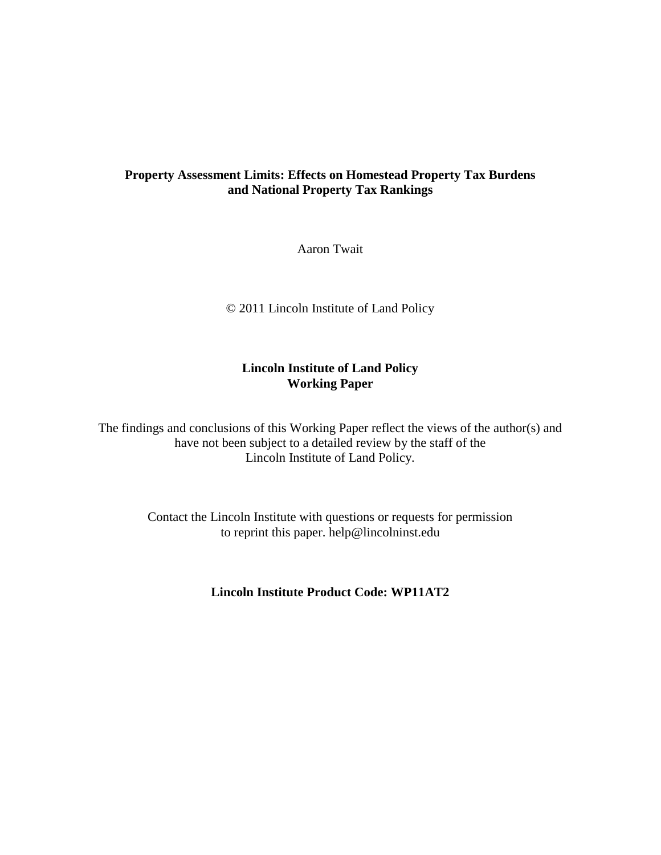## **Property Assessment Limits: Effects on Homestead Property Tax Burdens and National Property Tax Rankings**

Aaron Twait

© 2011 Lincoln Institute of Land Policy

## **Lincoln Institute of Land Policy Working Paper**

The findings and conclusions of this Working Paper reflect the views of the author(s) and have not been subject to a detailed review by the staff of the Lincoln Institute of Land Policy.

> Contact the Lincoln Institute with questions or requests for permission to reprint this paper. help@lincolninst.edu

> > **Lincoln Institute Product Code: WP11AT2**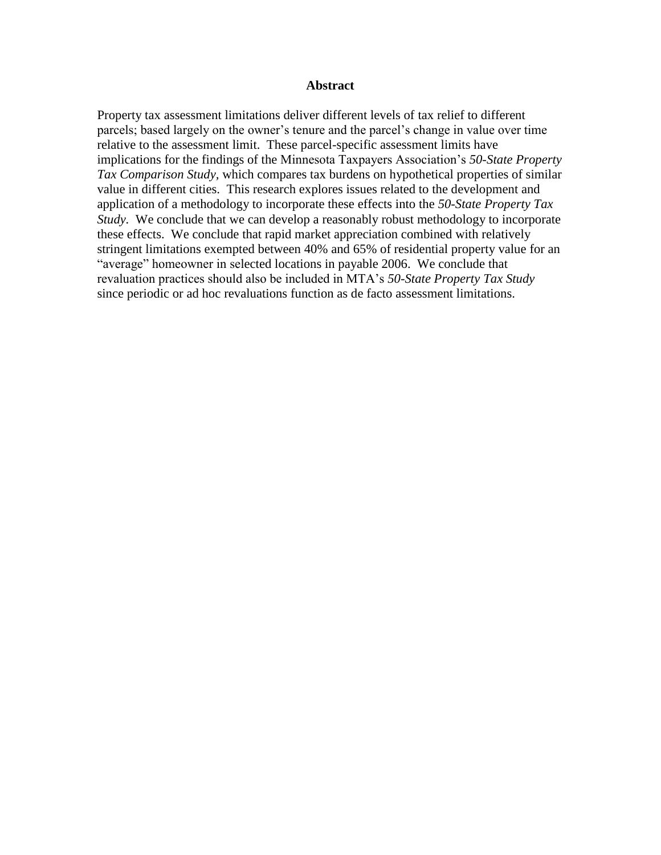#### **Abstract**

Property tax assessment limitations deliver different levels of tax relief to different parcels; based largely on the owner's tenure and the parcel's change in value over time relative to the assessment limit. These parcel-specific assessment limits have implications for the findings of the Minnesota Taxpayers Association's *50-State Property Tax Comparison Study,* which compares tax burdens on hypothetical properties of similar value in different cities. This research explores issues related to the development and application of a methodology to incorporate these effects into the *50-State Property Tax Study*. We conclude that we can develop a reasonably robust methodology to incorporate these effects. We conclude that rapid market appreciation combined with relatively stringent limitations exempted between 40% and 65% of residential property value for an "average" homeowner in selected locations in payable 2006. We conclude that revaluation practices should also be included in MTA's *50-State Property Tax Study*  since periodic or ad hoc revaluations function as de facto assessment limitations.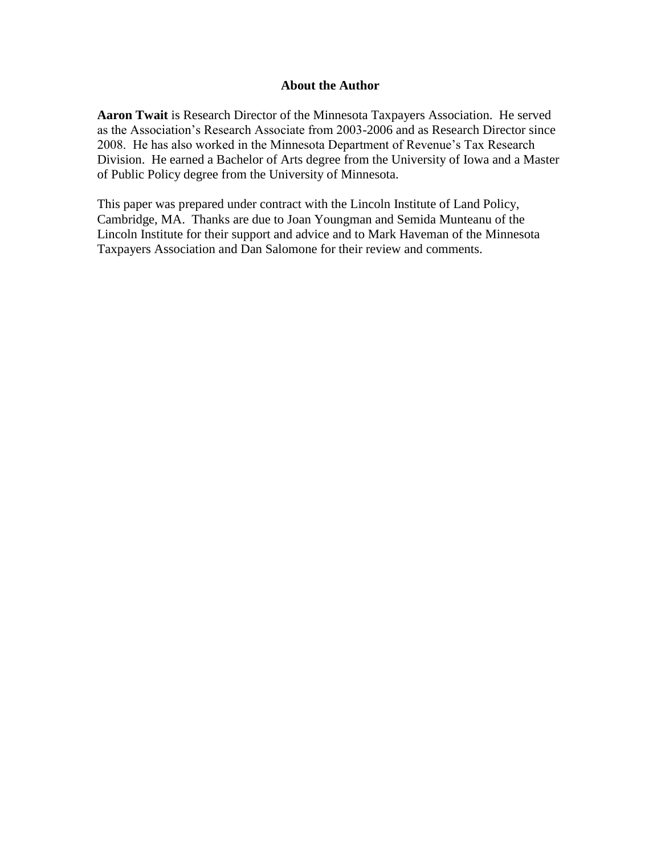#### **About the Author**

**Aaron Twait** is Research Director of the Minnesota Taxpayers Association. He served as the Association's Research Associate from 2003-2006 and as Research Director since 2008. He has also worked in the Minnesota Department of Revenue's Tax Research Division. He earned a Bachelor of Arts degree from the University of Iowa and a Master of Public Policy degree from the University of Minnesota.

This paper was prepared under contract with the Lincoln Institute of Land Policy, Cambridge, MA. Thanks are due to Joan Youngman and Semida Munteanu of the Lincoln Institute for their support and advice and to Mark Haveman of the Minnesota Taxpayers Association and Dan Salomone for their review and comments.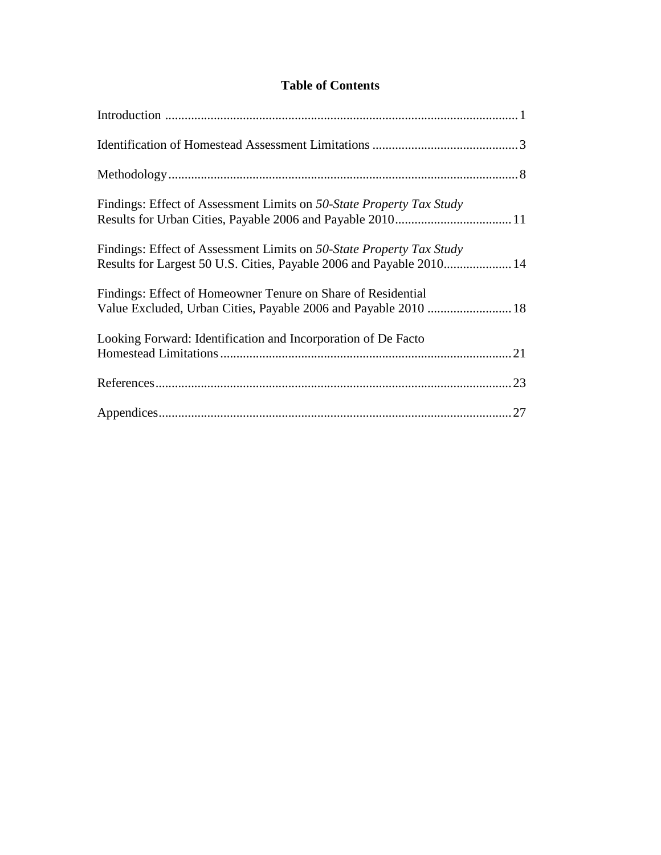## **Table of Contents**

| Findings: Effect of Assessment Limits on 50-State Property Tax Study                                                                         |
|----------------------------------------------------------------------------------------------------------------------------------------------|
| Findings: Effect of Assessment Limits on 50-State Property Tax Study<br>Results for Largest 50 U.S. Cities, Payable 2006 and Payable 2010 14 |
| Findings: Effect of Homeowner Tenure on Share of Residential<br>Value Excluded, Urban Cities, Payable 2006 and Payable 2010  18              |
| Looking Forward: Identification and Incorporation of De Facto                                                                                |
|                                                                                                                                              |
|                                                                                                                                              |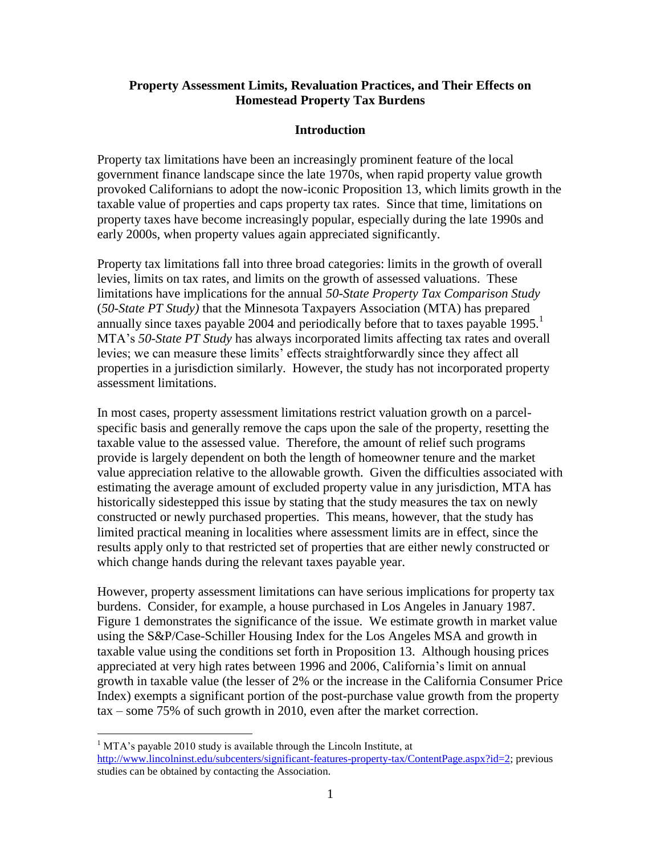#### **Property Assessment Limits, Revaluation Practices, and Their Effects on Homestead Property Tax Burdens**

#### **Introduction**

Property tax limitations have been an increasingly prominent feature of the local government finance landscape since the late 1970s, when rapid property value growth provoked Californians to adopt the now-iconic Proposition 13, which limits growth in the taxable value of properties and caps property tax rates. Since that time, limitations on property taxes have become increasingly popular, especially during the late 1990s and early 2000s, when property values again appreciated significantly.

Property tax limitations fall into three broad categories: limits in the growth of overall levies, limits on tax rates, and limits on the growth of assessed valuations. These limitations have implications for the annual *50-State Property Tax Comparison Study* (*50-State PT Study)* that the Minnesota Taxpayers Association (MTA) has prepared annually since taxes payable 2004 and periodically before that to taxes payable  $1995$ .<sup>1</sup> MTA's *50-State PT Study* has always incorporated limits affecting tax rates and overall levies; we can measure these limits' effects straightforwardly since they affect all properties in a jurisdiction similarly. However, the study has not incorporated property assessment limitations.

In most cases, property assessment limitations restrict valuation growth on a parcelspecific basis and generally remove the caps upon the sale of the property, resetting the taxable value to the assessed value. Therefore, the amount of relief such programs provide is largely dependent on both the length of homeowner tenure and the market value appreciation relative to the allowable growth. Given the difficulties associated with estimating the average amount of excluded property value in any jurisdiction, MTA has historically sidestepped this issue by stating that the study measures the tax on newly constructed or newly purchased properties. This means, however, that the study has limited practical meaning in localities where assessment limits are in effect, since the results apply only to that restricted set of properties that are either newly constructed or which change hands during the relevant taxes payable year.

However, property assessment limitations can have serious implications for property tax burdens. Consider, for example, a house purchased in Los Angeles in January 1987. [Figure 1](#page-5-0) demonstrates the significance of the issue. We estimate growth in market value using the S&P/Case-Schiller Housing Index for the Los Angeles MSA and growth in taxable value using the conditions set forth in Proposition 13. Although housing prices appreciated at very high rates between 1996 and 2006, California's limit on annual growth in taxable value (the lesser of 2% or the increase in the California Consumer Price Index) exempts a significant portion of the post-purchase value growth from the property tax – some 75% of such growth in 2010, even after the market correction.

<sup>&</sup>lt;sup>1</sup> MTA's payable 2010 study is available through the Lincoln Institute, at [http://www.lincolninst.edu/subcenters/significant-features-property-tax/ContentPage.aspx?id=2;](http://www.lincolninst.edu/subcenters/significant-features-property-tax/ContentPage.aspx?id=2) previous studies can be obtained by contacting the Association.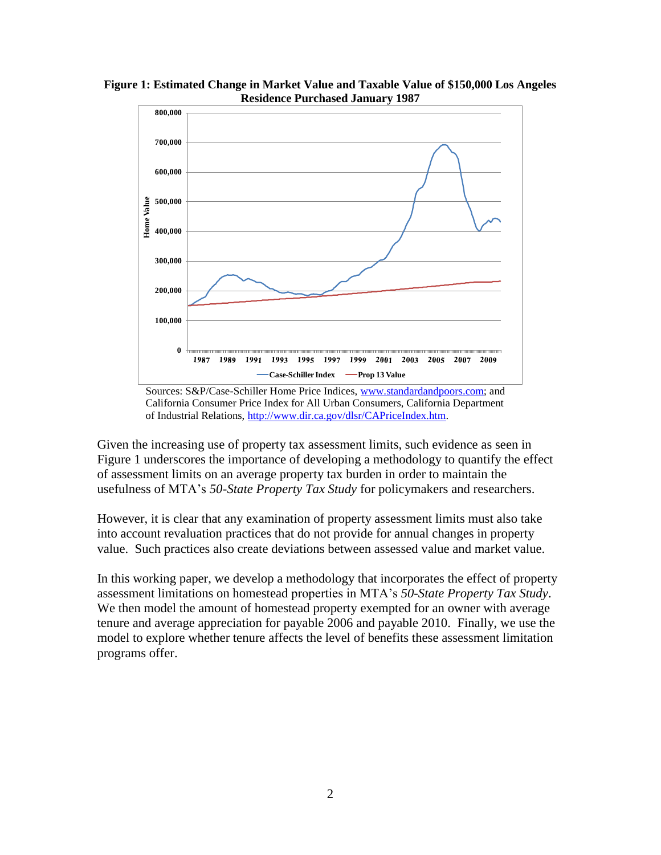

<span id="page-5-0"></span>**Figure 1: Estimated Change in Market Value and Taxable Value of \$150,000 Los Angeles Residence Purchased January 1987**

Given the increasing use of property tax assessment limits, such evidence as seen in [Figure 1](#page-5-0) underscores the importance of developing a methodology to quantify the effect of assessment limits on an average property tax burden in order to maintain the usefulness of MTA's *50-State Property Tax Study* for policymakers and researchers.

However, it is clear that any examination of property assessment limits must also take into account revaluation practices that do not provide for annual changes in property value. Such practices also create deviations between assessed value and market value.

In this working paper, we develop a methodology that incorporates the effect of property assessment limitations on homestead properties in MTA's *50-State Property Tax Study*. We then model the amount of homestead property exempted for an owner with average tenure and average appreciation for payable 2006 and payable 2010. Finally, we use the model to explore whether tenure affects the level of benefits these assessment limitation programs offer.

Sources: S&P/Case-Schiller Home Price Indices, [www.standardandpoors.com;](http://www.standardandpoors.com/) and California Consumer Price Index for All Urban Consumers, California Department of Industrial Relations, [http://www.dir.ca.gov/dlsr/CAPriceIndex.htm.](http://www.dir.ca.gov/dlsr/CAPriceIndex.htm)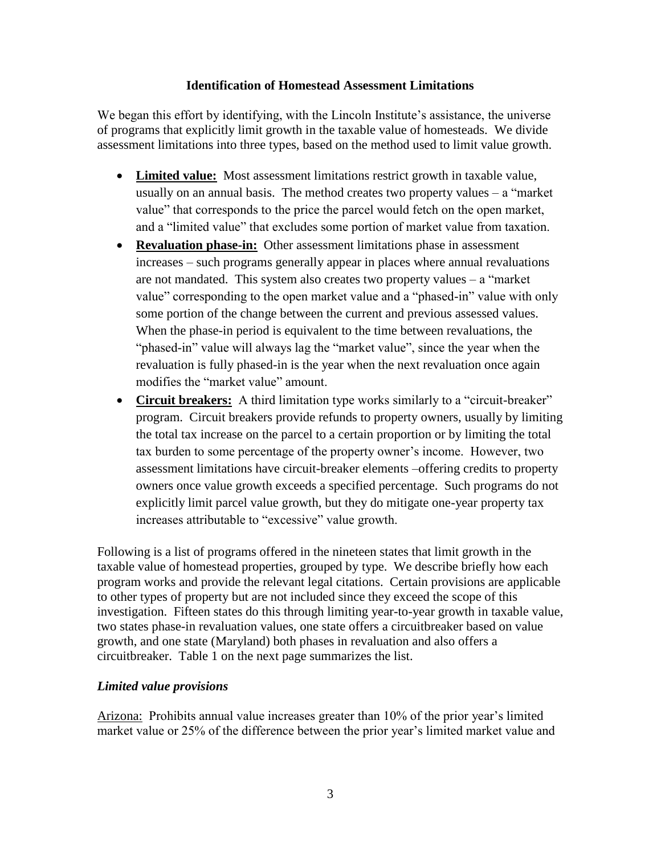#### **Identification of Homestead Assessment Limitations**

We began this effort by identifying, with the Lincoln Institute's assistance, the universe of programs that explicitly limit growth in the taxable value of homesteads. We divide assessment limitations into three types, based on the method used to limit value growth.

- **Limited value:** Most assessment limitations restrict growth in taxable value, usually on an annual basis. The method creates two property values  $-$  a "market" value" that corresponds to the price the parcel would fetch on the open market, and a "limited value" that excludes some portion of market value from taxation.
- **Revaluation phase-in:** Other assessment limitations phase in assessment increases – such programs generally appear in places where annual revaluations are not mandated. This system also creates two property values  $-$  a "market" value" corresponding to the open market value and a "phased-in" value with only some portion of the change between the current and previous assessed values. When the phase-in period is equivalent to the time between revaluations, the "phased-in" value will always lag the "market value", since the year when the revaluation is fully phased-in is the year when the next revaluation once again modifies the "market value" amount.
- **Circuit breakers:** A third limitation type works similarly to a "circuit-breaker" program. Circuit breakers provide refunds to property owners, usually by limiting the total tax increase on the parcel to a certain proportion or by limiting the total tax burden to some percentage of the property owner's income. However, two assessment limitations have circuit-breaker elements –offering credits to property owners once value growth exceeds a specified percentage. Such programs do not explicitly limit parcel value growth, but they do mitigate one-year property tax increases attributable to "excessive" value growth.

Following is a list of programs offered in the nineteen states that limit growth in the taxable value of homestead properties, grouped by type. We describe briefly how each program works and provide the relevant legal citations. Certain provisions are applicable to other types of property but are not included since they exceed the scope of this investigation. Fifteen states do this through limiting year-to-year growth in taxable value, two states phase-in revaluation values, one state offers a circuitbreaker based on value growth, and one state (Maryland) both phases in revaluation and also offers a circuitbreaker. [Table 1](#page-7-0) on the next page summarizes the list.

## *Limited value provisions*

Arizona: Prohibits annual value increases greater than 10% of the prior year's limited market value or 25% of the difference between the prior year's limited market value and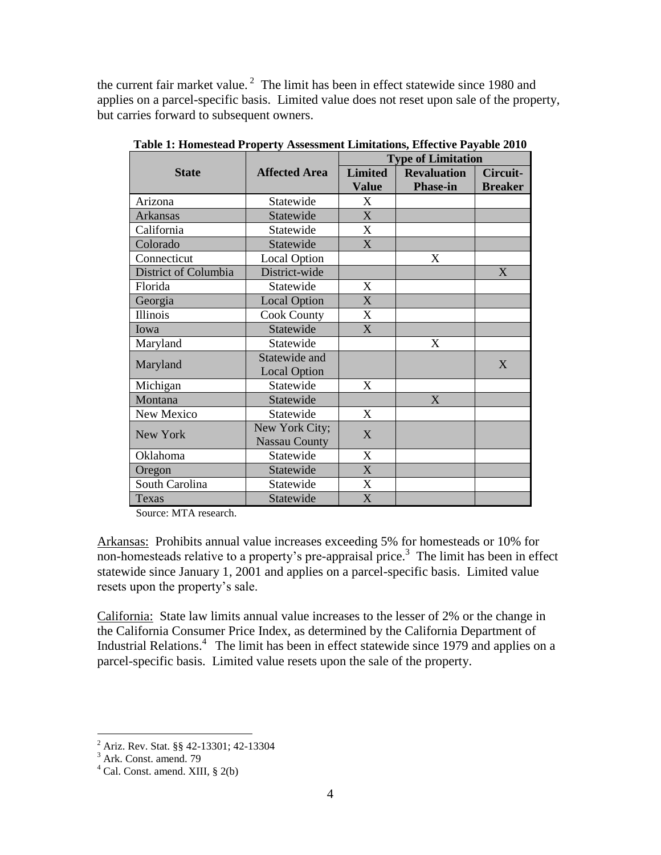the current fair market value.<sup>2</sup> The limit has been in effect statewide since 1980 and applies on a parcel-specific basis. Limited value does not reset upon sale of the property, but carries forward to subsequent owners.

|                      |                      | <b>Type of Limitation</b> |                    |                |
|----------------------|----------------------|---------------------------|--------------------|----------------|
| <b>State</b>         | <b>Affected Area</b> | <b>Limited</b>            | <b>Revaluation</b> | Circuit-       |
|                      |                      | Value                     | <b>Phase-in</b>    | <b>Breaker</b> |
| Arizona              | Statewide            | X                         |                    |                |
| Arkansas             | Statewide            | X                         |                    |                |
| California           | Statewide            | X                         |                    |                |
| Colorado             | Statewide            | X                         |                    |                |
| Connecticut          | <b>Local Option</b>  |                           | X                  |                |
| District of Columbia | District-wide        |                           |                    | X              |
| Florida              | Statewide            | X                         |                    |                |
| Georgia              | <b>Local Option</b>  | X                         |                    |                |
| Illinois             | <b>Cook County</b>   | X                         |                    |                |
| Iowa                 | Statewide            | X                         |                    |                |
| Maryland             | Statewide            |                           | X                  |                |
| Maryland             | Statewide and        |                           |                    | X              |
|                      | <b>Local Option</b>  |                           |                    |                |
| Michigan             | Statewide            | X                         |                    |                |
| Montana              | Statewide            |                           | X                  |                |
| New Mexico           | Statewide            | X                         |                    |                |
| New York             | New York City;       | X                         |                    |                |
|                      | <b>Nassau County</b> |                           |                    |                |
| Oklahoma             | Statewide            | X                         |                    |                |
| Oregon               | Statewide            | $\mathbf{X}$              |                    |                |
| South Carolina       | Statewide            | X                         |                    |                |
| Texas                | Statewide            | X                         |                    |                |

<span id="page-7-0"></span>**Table 1: Homestead Property Assessment Limitations, Effective Payable 2010**

Source: MTA research.

Arkansas: Prohibits annual value increases exceeding 5% for homesteads or 10% for non-homesteads relative to a property's pre-appraisal price.<sup>3</sup> The limit has been in effect statewide since January 1, 2001 and applies on a parcel-specific basis. Limited value resets upon the property's sale.

California: State law limits annual value increases to the lesser of 2% or the change in the California Consumer Price Index, as determined by the California Department of Industrial Relations.<sup>4</sup> The limit has been in effect statewide since 1979 and applies on a parcel-specific basis. Limited value resets upon the sale of the property.

 $\overline{a}$ <sup>2</sup> Ariz. Rev. Stat. §§ 42-13301; 42-13304

 $3$  Ark. Const. amend. 79

<sup>4</sup> Cal. Const. amend. XIII, § 2(b)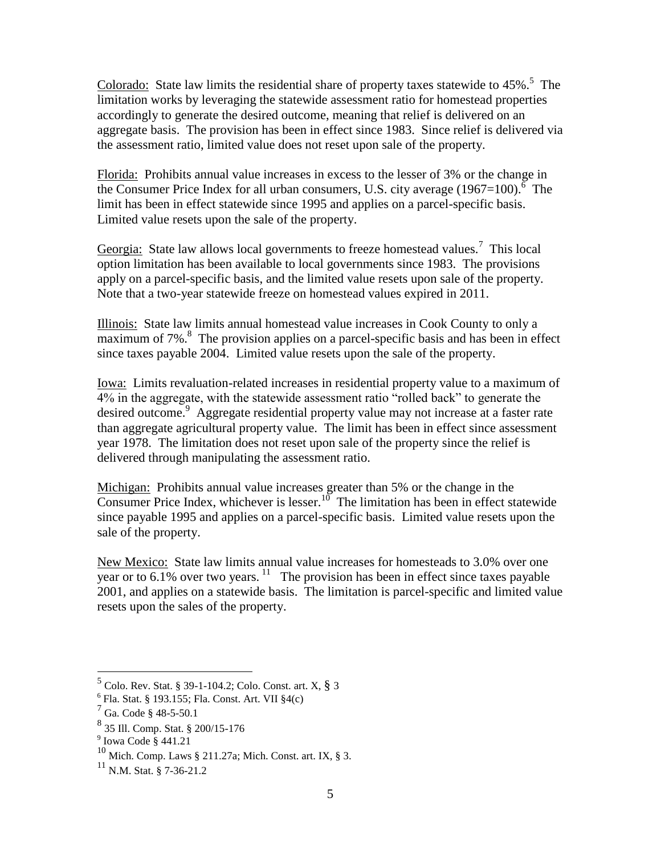Colorado: State law limits the residential share of property taxes statewide to  $45\%$ .<sup>5</sup> The limitation works by leveraging the statewide assessment ratio for homestead properties accordingly to generate the desired outcome, meaning that relief is delivered on an aggregate basis. The provision has been in effect since 1983. Since relief is delivered via the assessment ratio, limited value does not reset upon sale of the property.

Florida: Prohibits annual value increases in excess to the lesser of 3% or the change in the Consumer Price Index for all urban consumers, U.S. city average  $(1967=100)$ .<sup>6</sup> The limit has been in effect statewide since 1995 and applies on a parcel-specific basis. Limited value resets upon the sale of the property.

Georgia: State law allows local governments to freeze homestead values.<sup>7</sup> This local option limitation has been available to local governments since 1983. The provisions apply on a parcel-specific basis, and the limited value resets upon sale of the property. Note that a two-year statewide freeze on homestead values expired in 2011.

Illinois: State law limits annual homestead value increases in Cook County to only a  $\overline{\text{maximum of 7\%}}$ .<sup>8</sup> The provision applies on a parcel-specific basis and has been in effect since taxes payable 2004. Limited value resets upon the sale of the property.

Iowa: Limits revaluation-related increases in residential property value to a maximum of 4% in the aggregate, with the statewide assessment ratio "rolled back" to generate the desired outcome.<sup>9</sup> Aggregate residential property value may not increase at a faster rate than aggregate agricultural property value. The limit has been in effect since assessment year 1978. The limitation does not reset upon sale of the property since the relief is delivered through manipulating the assessment ratio.

Michigan: Prohibits annual value increases greater than 5% or the change in the Consumer Price Index, whichever is lesser.<sup>10</sup> The limitation has been in effect statewide since payable 1995 and applies on a parcel-specific basis. Limited value resets upon the sale of the property.

New Mexico: State law limits annual value increases for homesteads to 3.0% over one year or to  $6.1\%$  over two years. <sup>11</sup> The provision has been in effect since taxes payable 2001, and applies on a statewide basis. The limitation is parcel-specific and limited value resets upon the sales of the property.

 5 Colo. Rev. Stat. § 39-1-104.2; Colo. Const. art. X, § 3

<sup>&</sup>lt;sup>6</sup> Fla. Stat. § 193.155; Fla. Const. Art. VII §4(c)

Ga. Code § 48-5-50.1

<sup>8</sup> 35 Ill. Comp. Stat. § 200/15-176

<sup>9</sup> Iowa Code § 441.21

<sup>10</sup> Mich. Comp. Laws § 211.27a; Mich. Const. art. IX, § 3.

 $^{11}$  N.M. Stat. § 7-36-21.2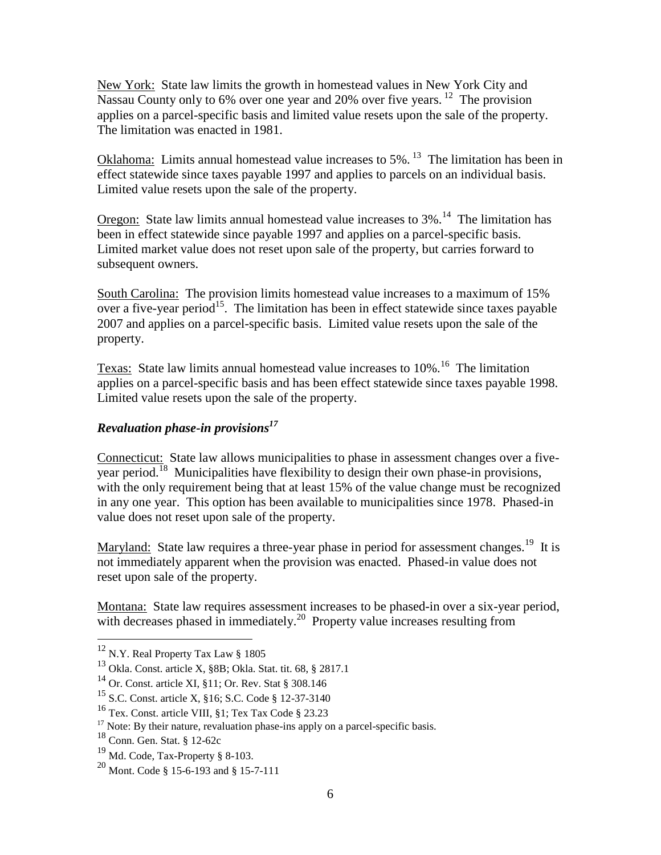New York: State law limits the growth in homestead values in New York City and Nassau County only to 6% over one year and 20% over five years. <sup>12</sup> The provision applies on a parcel-specific basis and limited value resets upon the sale of the property. The limitation was enacted in 1981.

Oklahoma: Limits annual homestead value increases to  $5\%$ . <sup>13</sup> The limitation has been in effect statewide since taxes payable 1997 and applies to parcels on an individual basis. Limited value resets upon the sale of the property.

**Oregon:** State law limits annual homestead value increases to  $3\%$ .<sup>14</sup> The limitation has been in effect statewide since payable 1997 and applies on a parcel-specific basis. Limited market value does not reset upon sale of the property, but carries forward to subsequent owners.

South Carolina: The provision limits homestead value increases to a maximum of 15% over a five-year period<sup>15</sup>. The limitation has been in effect statewide since taxes payable 2007 and applies on a parcel-specific basis. Limited value resets upon the sale of the property.

Texas: State law limits annual homestead value increases to 10%.<sup>16</sup> The limitation applies on a parcel-specific basis and has been effect statewide since taxes payable 1998. Limited value resets upon the sale of the property.

## *Revaluation phase-in provisions<sup>17</sup>*

Connecticut: State law allows municipalities to phase in assessment changes over a fiveyear period.<sup>18</sup> Municipalities have flexibility to design their own phase-in provisions, with the only requirement being that at least 15% of the value change must be recognized in any one year. This option has been available to municipalities since 1978. Phased-in value does not reset upon sale of the property.

Maryland: State law requires a three-year phase in period for assessment changes.<sup>19</sup> It is not immediately apparent when the provision was enacted. Phased-in value does not reset upon sale of the property.

Montana: State law requires assessment increases to be phased-in over a six-year period, with decreases phased in immediately.<sup>20</sup> Property value increases resulting from

 $12$  N.Y. Real Property Tax Law § 1805

<sup>13</sup> Okla. Const. article X, §8B; Okla. Stat. tit. 68, § 2817.1

<sup>14</sup> Or. Const. article XI, §11; Or. Rev. Stat § 308.146

<sup>15</sup> S.C. Const. article X, §16; S.C. Code § 12-37-3140

<sup>16</sup> Tex. Const. article VIII, §1; Tex Tax Code § 23.23

 $17$  Note: By their nature, revaluation phase-ins apply on a parcel-specific basis.

<sup>18</sup> Conn. Gen. Stat. § 12-62c

<sup>19</sup> Md. Code, Tax-Property § 8-103.

<sup>20</sup> Mont. Code § 15-6-193 and § 15-7-111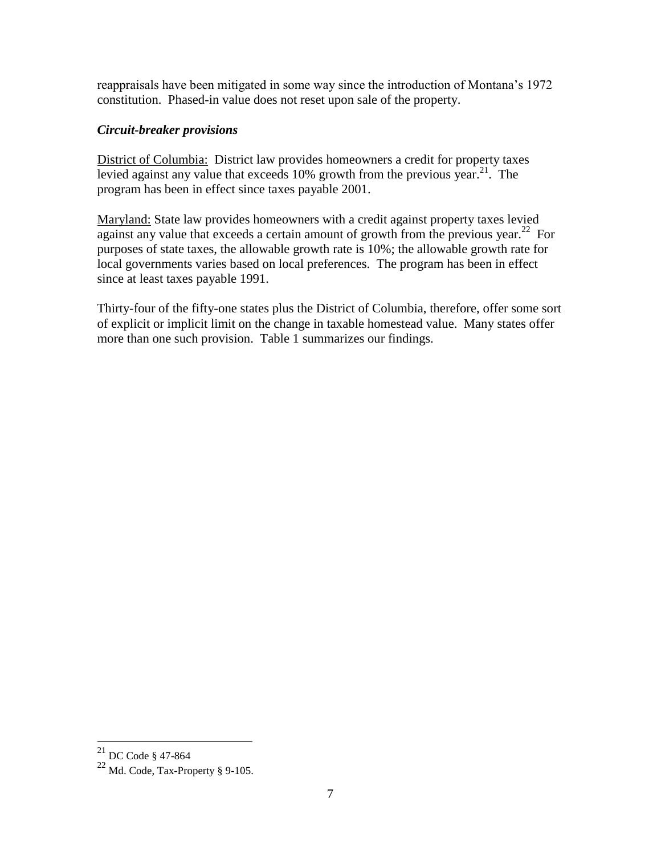reappraisals have been mitigated in some way since the introduction of Montana's 1972 constitution. Phased-in value does not reset upon sale of the property.

### *Circuit-breaker provisions*

District of Columbia: District law provides homeowners a credit for property taxes levied against any value that exceeds  $10\%$  growth from the previous year.<sup>21</sup>. The program has been in effect since taxes payable 2001.

Maryland: State law provides homeowners with a credit against property taxes levied against any value that exceeds a certain amount of growth from the previous year.<sup>22</sup> For purposes of state taxes, the allowable growth rate is 10%; the allowable growth rate for local governments varies based on local preferences. The program has been in effect since at least taxes payable 1991.

Thirty-four of the fifty-one states plus the District of Columbia, therefore, offer some sort of explicit or implicit limit on the change in taxable homestead value. Many states offer more than one such provision. [Table 1](#page-7-0) summarizes our findings.

 $^{21}$  DC Code § 47-864

 $^{22}$  Md. Code, Tax-Property § 9-105.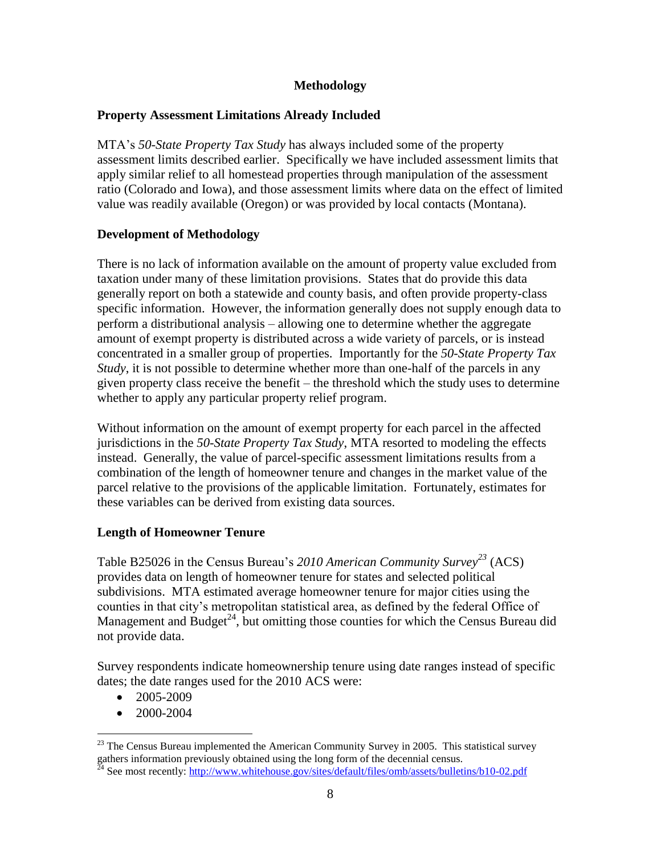## **Methodology**

### **Property Assessment Limitations Already Included**

MTA's *50-State Property Tax Study* has always included some of the property assessment limits described earlier. Specifically we have included assessment limits that apply similar relief to all homestead properties through manipulation of the assessment ratio (Colorado and Iowa), and those assessment limits where data on the effect of limited value was readily available (Oregon) or was provided by local contacts (Montana).

### **Development of Methodology**

There is no lack of information available on the amount of property value excluded from taxation under many of these limitation provisions. States that do provide this data generally report on both a statewide and county basis, and often provide property-class specific information. However, the information generally does not supply enough data to perform a distributional analysis – allowing one to determine whether the aggregate amount of exempt property is distributed across a wide variety of parcels, or is instead concentrated in a smaller group of properties. Importantly for the *50-State Property Tax Study*, it is not possible to determine whether more than one-half of the parcels in any given property class receive the benefit – the threshold which the study uses to determine whether to apply any particular property relief program.

Without information on the amount of exempt property for each parcel in the affected jurisdictions in the *50-State Property Tax Study*, MTA resorted to modeling the effects instead. Generally, the value of parcel-specific assessment limitations results from a combination of the length of homeowner tenure and changes in the market value of the parcel relative to the provisions of the applicable limitation. Fortunately, estimates for these variables can be derived from existing data sources.

## **Length of Homeowner Tenure**

Table B25026 in the Census Bureau's *2010 American Community Survey<sup>23</sup>* (ACS) provides data on length of homeowner tenure for states and selected political subdivisions. MTA estimated average homeowner tenure for major cities using the counties in that city's metropolitan statistical area, as defined by the federal Office of Management and Budget<sup>24</sup>, but omitting those counties for which the Census Bureau did not provide data.

Survey respondents indicate homeownership tenure using date ranges instead of specific dates; the date ranges used for the 2010 ACS were:

- $\bullet$  2005-2009
- 2000-2004

 $^{23}$  The Census Bureau implemented the American Community Survey in 2005. This statistical survey gathers information previously obtained using the long form of the decennial census.

 $^{24}$  See most recently: http://www.whitehouse.gov/sites/default/files/omb/assets/bulletins/b10-02.pdf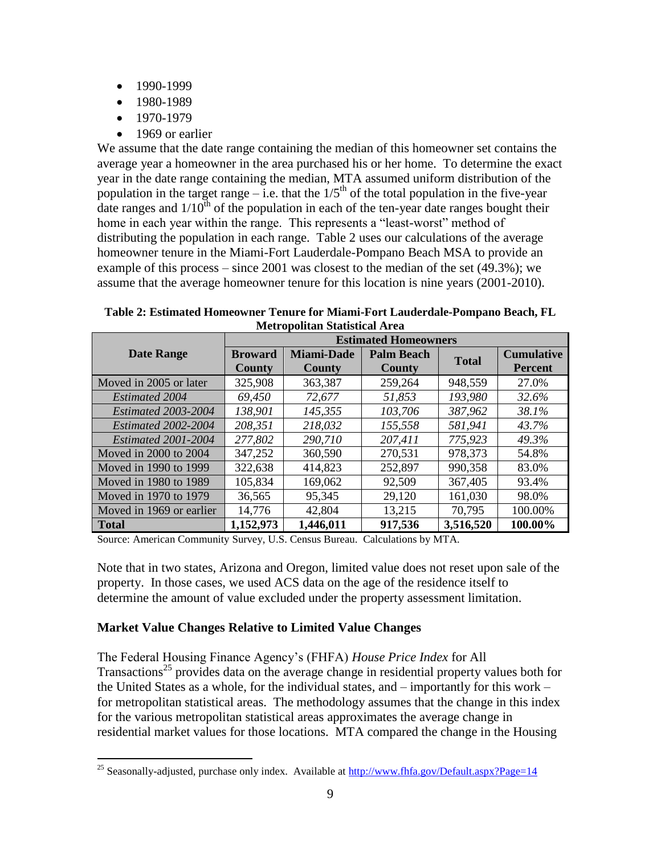- $-1990-1999$
- 1980-1989
- $-1970-1979$

 $\overline{a}$ 

• 1969 or earlier

We assume that the date range containing the median of this homeowner set contains the average year a homeowner in the area purchased his or her home. To determine the exact year in the date range containing the median, MTA assumed uniform distribution of the population in the target range – i.e. that the  $1/5<sup>th</sup>$  of the total population in the five-year date ranges and  $1/10^{th}$  of the population in each of the ten-year date ranges bought their home in each year within the range. This represents a "least-worst" method of distributing the population in each range. [Table 2](#page-12-0) uses our calculations of the average homeowner tenure in the Miami-Fort Lauderdale-Pompano Beach MSA to provide an example of this process – since 2001 was closest to the median of the set (49.3%); we assume that the average homeowner tenure for this location is nine years (2001-2010).

<span id="page-12-0"></span>**Table 2: Estimated Homeowner Tenure for Miami-Fort Lauderdale-Pompano Beach, FL Metropolitan Statistical Area**

|                            |                | <b>Estimated Homeowners</b> |                   |              |                   |
|----------------------------|----------------|-----------------------------|-------------------|--------------|-------------------|
| <b>Date Range</b>          | <b>Broward</b> | <b>Miami-Dade</b>           | <b>Palm Beach</b> | <b>Total</b> | <b>Cumulative</b> |
|                            | <b>County</b>  | <b>County</b>               | <b>County</b>     |              | <b>Percent</b>    |
| Moved in 2005 or later     | 325,908        | 363,387                     | 259,264           | 948,559      | 27.0%             |
| <b>Estimated 2004</b>      | 69,450         | 72,677                      | 51,853            | 193,980      | 32.6%             |
| <b>Estimated 2003-2004</b> | 138,901        | 145,355                     | 103,706           | 387,962      | 38.1%             |
| Estimated 2002-2004        | 208,351        | 218,032                     | 155,558           | 581,941      | 43.7%             |
| Estimated 2001-2004        | 277,802        | 290,710                     | 207,411           | 775,923      | 49.3%             |
| Moved in 2000 to 2004      | 347,252        | 360,590                     | 270,531           | 978,373      | 54.8%             |
| Moved in 1990 to 1999      | 322,638        | 414,823                     | 252,897           | 990,358      | 83.0%             |
| Moved in 1980 to 1989      | 105,834        | 169,062                     | 92,509            | 367,405      | 93.4%             |
| Moved in 1970 to 1979      | 36,565         | 95,345                      | 29,120            | 161,030      | 98.0%             |
| Moved in 1969 or earlier   | 14,776         | 42,804                      | 13,215            | 70,795       | 100.00%           |
| <b>Total</b>               | 1,152,973      | 1,446,011                   | 917,536           | 3,516,520    | 100.00%           |

Source: American Community Survey, U.S. Census Bureau. Calculations by MTA.

Note that in two states, Arizona and Oregon, limited value does not reset upon sale of the property. In those cases, we used ACS data on the age of the residence itself to determine the amount of value excluded under the property assessment limitation.

#### **Market Value Changes Relative to Limited Value Changes**

The Federal Housing Finance Agency's (FHFA) *House Price Index* for All Transactions<sup>25</sup> provides data on the average change in residential property values both for the United States as a whole, for the individual states, and – importantly for this work – for metropolitan statistical areas. The methodology assumes that the change in this index for the various metropolitan statistical areas approximates the average change in residential market values for those locations. MTA compared the change in the Housing

<sup>&</sup>lt;sup>25</sup> Seasonally-adjusted, purchase only index. Available at  $\frac{http://www.fhfa.gov/Default.aspx?Page=14}{http://www.fhfa.gov/Default.aspx?Page=14}$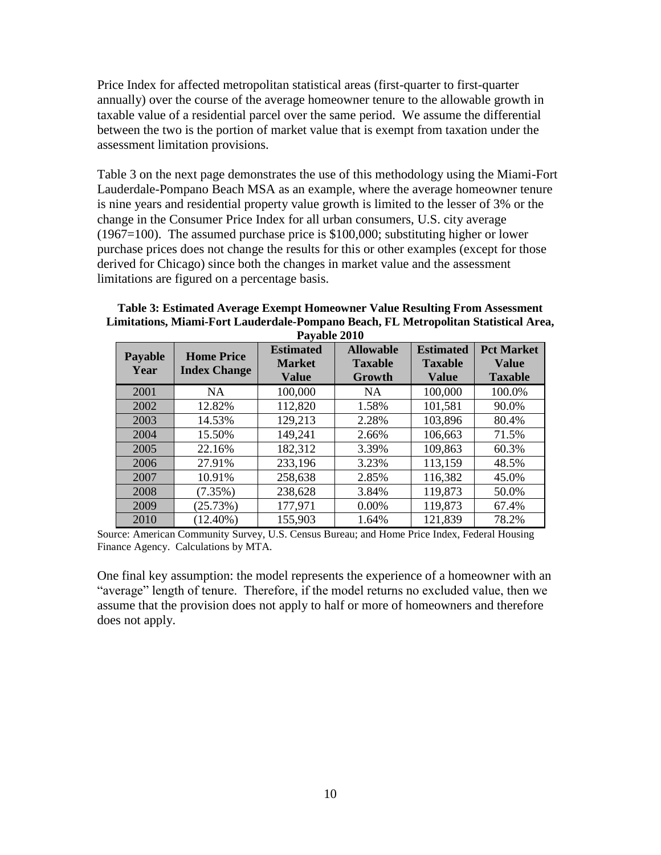Price Index for affected metropolitan statistical areas (first-quarter to first-quarter annually) over the course of the average homeowner tenure to the allowable growth in taxable value of a residential parcel over the same period. We assume the differential between the two is the portion of market value that is exempt from taxation under the assessment limitation provisions.

[Table 3](#page-13-0) on the next page demonstrates the use of this methodology using the Miami-Fort Lauderdale-Pompano Beach MSA as an example, where the average homeowner tenure is nine years and residential property value growth is limited to the lesser of 3% or the change in the Consumer Price Index for all urban consumers, U.S. city average (1967=100). The assumed purchase price is \$100,000; substituting higher or lower purchase prices does not change the results for this or other examples (except for those derived for Chicago) since both the changes in market value and the assessment limitations are figured on a percentage basis.

<span id="page-13-0"></span>**Table 3: Estimated Average Exempt Homeowner Value Resulting From Assessment Limitations, Miami-Fort Lauderdale-Pompano Beach, FL Metropolitan Statistical Area, Payable 2010**

| <b>Payable</b><br>Year | <b>Home Price</b><br><b>Index Change</b> | <b>Estimated</b><br><b>Market</b><br><b>Value</b> | <b>Allowable</b><br><b>Taxable</b><br>Growth | <b>Estimated</b><br><b>Taxable</b><br><b>Value</b> | <b>Pct Market</b><br>Value<br><b>Taxable</b> |
|------------------------|------------------------------------------|---------------------------------------------------|----------------------------------------------|----------------------------------------------------|----------------------------------------------|
| 2001                   | NA.                                      | 100,000                                           | <b>NA</b>                                    | 100,000                                            | 100.0%                                       |
| 2002                   | 12.82%                                   | 112,820                                           | 1.58%                                        | 101,581                                            | 90.0%                                        |
| 2003                   | 14.53%                                   | 129,213                                           | 2.28%                                        | 103,896                                            | 80.4%                                        |
| 2004                   | 15.50%                                   | 149,241                                           | 2.66%                                        | 106,663                                            | 71.5%                                        |
| 2005                   | 22.16%                                   | 182,312                                           | 3.39%                                        | 109,863                                            | 60.3%                                        |
| 2006                   | 27.91%                                   | 233,196                                           | 3.23%                                        | 113,159                                            | 48.5%                                        |
| 2007                   | 10.91%                                   | 258,638                                           | 2.85%                                        | 116,382                                            | 45.0%                                        |
| 2008                   | $(7.35\%)$                               | 238,628                                           | 3.84%                                        | 119,873                                            | 50.0%                                        |
| 2009                   | (25.73%)                                 | 177,971                                           | 0.00%                                        | 119,873                                            | 67.4%                                        |
| 2010                   | $(12.40\%)$                              | 155,903                                           | 1.64%                                        | 121,839                                            | 78.2%                                        |

Source: American Community Survey, U.S. Census Bureau; and Home Price Index, Federal Housing Finance Agency. Calculations by MTA.

One final key assumption: the model represents the experience of a homeowner with an "average" length of tenure. Therefore, if the model returns no excluded value, then we assume that the provision does not apply to half or more of homeowners and therefore does not apply.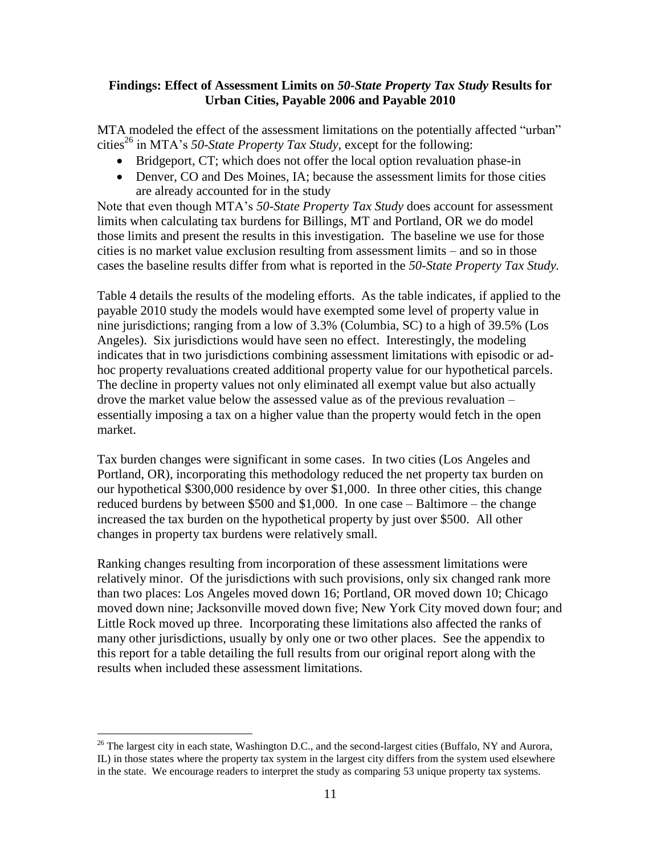#### **Findings: Effect of Assessment Limits on** *50-State Property Tax Study* **Results for Urban Cities, Payable 2006 and Payable 2010**

MTA modeled the effect of the assessment limitations on the potentially affected "urban" cities<sup>26</sup> in MTA's *50-State Property Tax Study*, except for the following:

- Bridgeport, CT; which does not offer the local option revaluation phase-in
- Denver, CO and Des Moines, IA; because the assessment limits for those cities are already accounted for in the study

Note that even though MTA's *50-State Property Tax Study* does account for assessment limits when calculating tax burdens for Billings, MT and Portland, OR we do model those limits and present the results in this investigation. The baseline we use for those cities is no market value exclusion resulting from assessment limits – and so in those cases the baseline results differ from what is reported in the *50-State Property Tax Study.*

[Table 4](#page-15-0) details the results of the modeling efforts. As the table indicates, if applied to the payable 2010 study the models would have exempted some level of property value in nine jurisdictions; ranging from a low of 3.3% (Columbia, SC) to a high of 39.5% (Los Angeles). Six jurisdictions would have seen no effect. Interestingly, the modeling indicates that in two jurisdictions combining assessment limitations with episodic or adhoc property revaluations created additional property value for our hypothetical parcels. The decline in property values not only eliminated all exempt value but also actually drove the market value below the assessed value as of the previous revaluation – essentially imposing a tax on a higher value than the property would fetch in the open market.

Tax burden changes were significant in some cases. In two cities (Los Angeles and Portland, OR), incorporating this methodology reduced the net property tax burden on our hypothetical \$300,000 residence by over \$1,000. In three other cities, this change reduced burdens by between \$500 and \$1,000. In one case – Baltimore – the change increased the tax burden on the hypothetical property by just over \$500. All other changes in property tax burdens were relatively small.

Ranking changes resulting from incorporation of these assessment limitations were relatively minor. Of the jurisdictions with such provisions, only six changed rank more than two places: Los Angeles moved down 16; Portland, OR moved down 10; Chicago moved down nine; Jacksonville moved down five; New York City moved down four; and Little Rock moved up three. Incorporating these limitations also affected the ranks of many other jurisdictions, usually by only one or two other places. See the appendix to this report for a table detailing the full results from our original report along with the results when included these assessment limitations.

<sup>&</sup>lt;sup>26</sup> The largest city in each state, Washington D.C., and the second-largest cities (Buffalo, NY and Aurora, IL) in those states where the property tax system in the largest city differs from the system used elsewhere in the state. We encourage readers to interpret the study as comparing 53 unique property tax systems.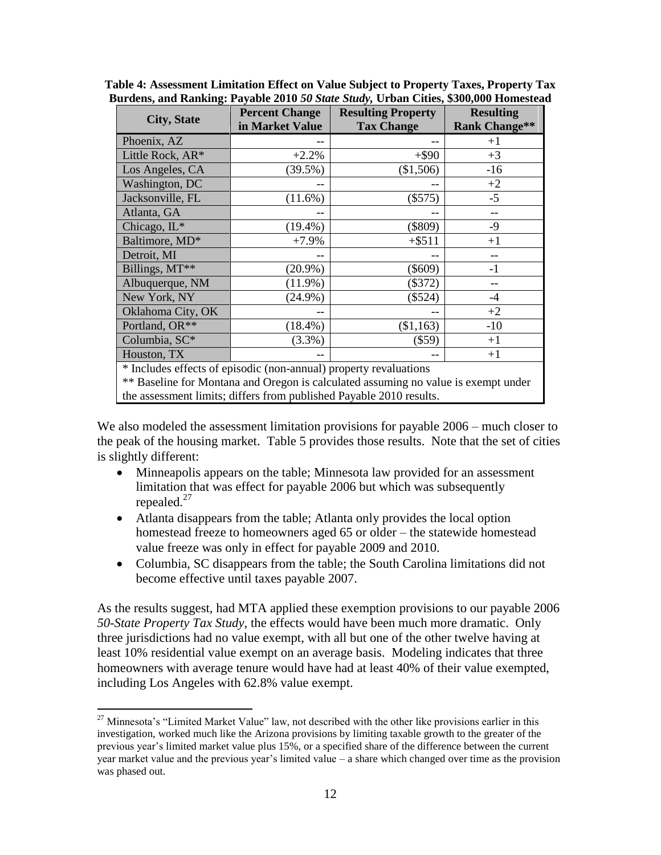| <b>City, State</b>                                                | <b>Percent Change</b> | <b>Resulting Property</b>                                                          | <b>Resulting</b>     |  |
|-------------------------------------------------------------------|-----------------------|------------------------------------------------------------------------------------|----------------------|--|
|                                                                   | in Market Value       | <b>Tax Change</b>                                                                  | <b>Rank Change**</b> |  |
| Phoenix, AZ                                                       |                       |                                                                                    | $+1$                 |  |
| Little Rock, AR*                                                  | $+2.2%$               | $+$ \$90                                                                           | $+3$                 |  |
| Los Angeles, CA                                                   | $(39.5\%)$            | (\$1,506)                                                                          | $-16$                |  |
| Washington, DC                                                    |                       |                                                                                    | $+2$                 |  |
| Jacksonville, FL                                                  | $(11.6\%)$            | (\$575)                                                                            | $-5$                 |  |
| Atlanta, GA                                                       |                       | --                                                                                 | $-$                  |  |
| Chicago, IL*                                                      | $(19.4\%)$            | $(\$809)$                                                                          | $-9$                 |  |
| Baltimore, MD*                                                    | $+7.9%$               | $+$ \$511                                                                          | $+1$                 |  |
| Detroit, MI                                                       |                       |                                                                                    |                      |  |
| Billings, MT**                                                    | $(20.9\%)$            | $(\$609)$                                                                          | $-1$                 |  |
| Albuquerque, NM                                                   | $(11.9\%)$            | $(\$372)$                                                                          |                      |  |
| New York, NY                                                      | $(24.9\%)$            | (\$524)                                                                            | $-4$                 |  |
| Oklahoma City, OK                                                 |                       |                                                                                    | $+2$                 |  |
| Portland, OR**                                                    | $(18.4\%)$            | (\$1,163)                                                                          | $-10$                |  |
| Columbia, SC*                                                     | $(3.3\%)$             | $(\$59)$                                                                           | $+1$                 |  |
| Houston, TX                                                       |                       |                                                                                    | $+1$                 |  |
| * Includes effects of episodic (non-annual) property revaluations |                       |                                                                                    |                      |  |
|                                                                   |                       | ** Baseline for Montana and Oregon is calculated assuming no value is exempt under |                      |  |

<span id="page-15-0"></span>**Table 4: Assessment Limitation Effect on Value Subject to Property Taxes, Property Tax Burdens, and Ranking: Payable 2010** *50 State Study,* **Urban Cities, \$300,000 Homestead**

the assessment limits; differs from published Payable 2010 results.

We also modeled the assessment limitation provisions for payable 2006 – much closer to the peak of the housing market. [Table 5](#page-16-0) provides those results. Note that the set of cities is slightly different:

- Minneapolis appears on the table; Minnesota law provided for an assessment limitation that was effect for payable 2006 but which was subsequently repealed. $27$
- Atlanta disappears from the table; Atlanta only provides the local option homestead freeze to homeowners aged 65 or older – the statewide homestead value freeze was only in effect for payable 2009 and 2010.
- Columbia, SC disappears from the table; the South Carolina limitations did not become effective until taxes payable 2007.

As the results suggest, had MTA applied these exemption provisions to our payable 2006 *50-State Property Tax Study*, the effects would have been much more dramatic. Only three jurisdictions had no value exempt, with all but one of the other twelve having at least 10% residential value exempt on an average basis. Modeling indicates that three homeowners with average tenure would have had at least 40% of their value exempted, including Los Angeles with 62.8% value exempt.

<sup>&</sup>lt;sup>27</sup> Minnesota's "Limited Market Value" law, not described with the other like provisions earlier in this investigation, worked much like the Arizona provisions by limiting taxable growth to the greater of the previous year's limited market value plus 15%, or a specified share of the difference between the current year market value and the previous year's limited value – a share which changed over time as the provision was phased out.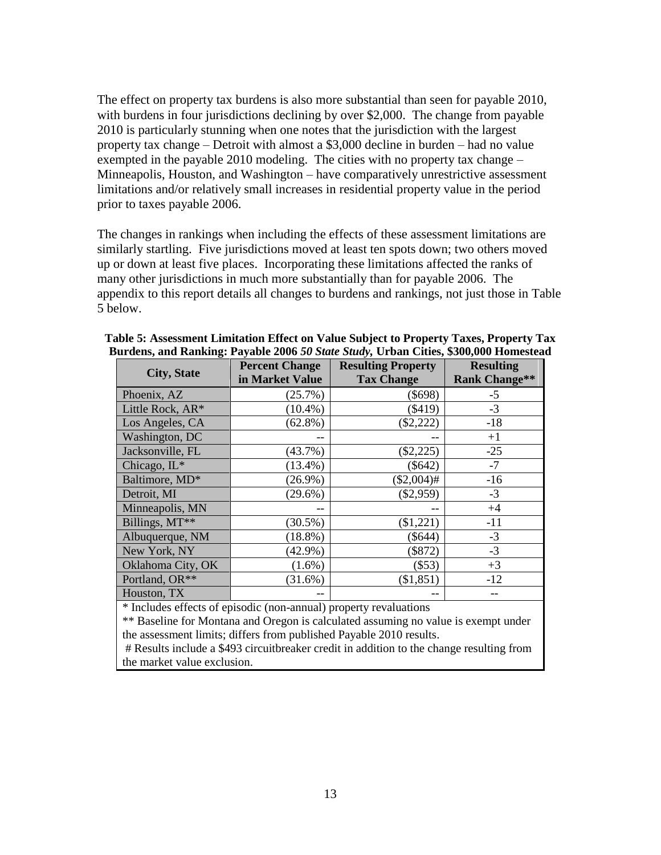The effect on property tax burdens is also more substantial than seen for payable 2010, with burdens in four jurisdictions declining by over \$2,000. The change from payable 2010 is particularly stunning when one notes that the jurisdiction with the largest property tax change – Detroit with almost a \$3,000 decline in burden – had no value exempted in the payable 2010 modeling. The cities with no property tax change – Minneapolis, Houston, and Washington – have comparatively unrestrictive assessment limitations and/or relatively small increases in residential property value in the period prior to taxes payable 2006.

The changes in rankings when including the effects of these assessment limitations are similarly startling. Five jurisdictions moved at least ten spots down; two others moved up or down at least five places. Incorporating these limitations affected the ranks of many other jurisdictions in much more substantially than for payable 2006. The appendix to this report details all changes to burdens and rankings, not just those in [Table](#page-16-0)  [5](#page-16-0) below.

| <b>City, State</b>                                                | <b>Percent Change</b><br>in Market Value | <b>Resulting Property</b><br><b>Tax Change</b> | <b>Resulting</b><br><b>Rank Change**</b> |  |
|-------------------------------------------------------------------|------------------------------------------|------------------------------------------------|------------------------------------------|--|
| Phoenix, AZ                                                       | (25.7%)                                  | $(\$698)$                                      | $-5$                                     |  |
| Little Rock, AR*                                                  | $(10.4\%)$                               | $(\$419)$                                      | $-3$                                     |  |
| Los Angeles, CA                                                   | $(62.8\%)$                               | $(\$2,222)$                                    | $-18$                                    |  |
| Washington, DC                                                    |                                          |                                                | $+1$                                     |  |
| Jacksonville, FL                                                  | $(43.7\%)$                               | $(\$2,225)$                                    | $-25$                                    |  |
| Chicago, IL*                                                      | $(13.4\%)$                               | $(\$642)$                                      | $-7$                                     |  |
| Baltimore, MD*                                                    | $(26.9\%)$                               | $(\$2,004)$ #                                  | $-16$                                    |  |
| Detroit, MI                                                       | $(29.6\%)$                               | $(\$2,959)$                                    | $-3$                                     |  |
| Minneapolis, MN                                                   |                                          |                                                | $+4$                                     |  |
| Billings, MT**                                                    | $(30.5\%)$                               | (\$1,221)                                      | $-11$                                    |  |
| Albuquerque, NM                                                   | $(18.8\%)$                               | $(\$644)$                                      | $-3$                                     |  |
| New York, NY                                                      | $(42.9\%)$                               | (\$872)                                        | $-3$                                     |  |
| Oklahoma City, OK                                                 | $(1.6\%)$                                | $(\$53)$                                       | $+3$                                     |  |
| Portland, OR**                                                    | $(31.6\%)$                               | (\$1,851)                                      | $-12$                                    |  |
| Houston, TX                                                       |                                          |                                                |                                          |  |
| * Includes effects of enisodic (non-annual) property revaluations |                                          |                                                |                                          |  |

<span id="page-16-0"></span>

| Table 5: Assessment Limitation Effect on Value Subject to Property Taxes, Property Tax |
|----------------------------------------------------------------------------------------|
| Burdens, and Ranking: Payable 2006 50 State Study, Urban Cities, \$300,000 Homestead   |

ic (non-annual) property revaluations

\*\* Baseline for Montana and Oregon is calculated assuming no value is exempt under the assessment limits; differs from published Payable 2010 results.

# Results include a \$493 circuitbreaker credit in addition to the change resulting from the market value exclusion.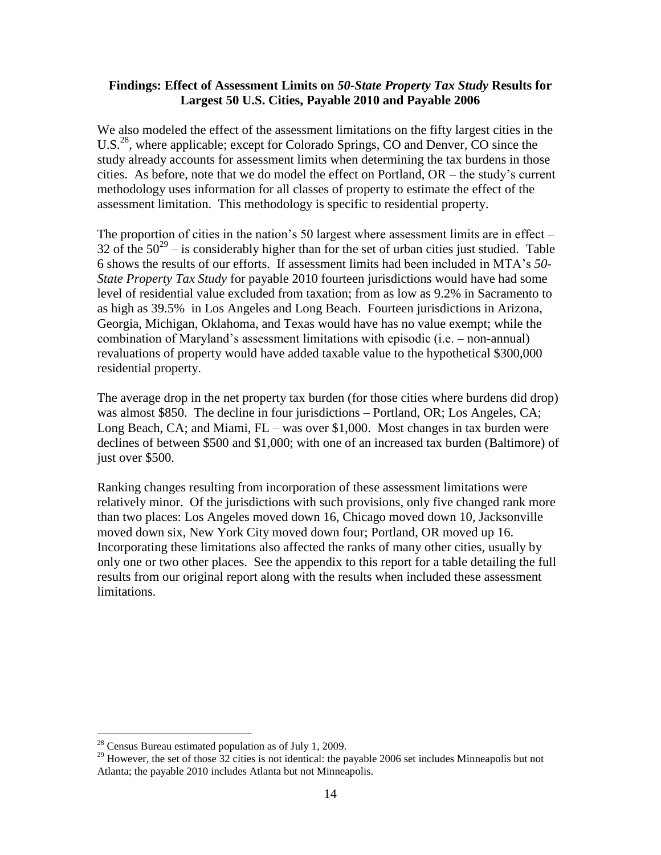#### **Findings: Effect of Assessment Limits on** *50-State Property Tax Study* **Results for Largest 50 U.S. Cities, Payable 2010 and Payable 2006**

We also modeled the effect of the assessment limitations on the fifty largest cities in the U.S.<sup>28</sup>, where applicable; except for Colorado Springs, CO and Denver, CO since the study already accounts for assessment limits when determining the tax burdens in those cities. As before, note that we do model the effect on Portland, OR – the study's current methodology uses information for all classes of property to estimate the effect of the assessment limitation. This methodology is specific to residential property.

The proportion of cities in the nation's 50 largest where assessment limits are in effect – 32 of the  $50^{29}$  – is considerably higher than for the set of urban cities just studied. Table [6](#page-18-0) shows the results of our efforts. If assessment limits had been included in MTA's *50- State Property Tax Study* for payable 2010 fourteen jurisdictions would have had some level of residential value excluded from taxation; from as low as 9.2% in Sacramento to as high as 39.5% in Los Angeles and Long Beach. Fourteen jurisdictions in Arizona, Georgia, Michigan, Oklahoma, and Texas would have has no value exempt; while the combination of Maryland's assessment limitations with episodic (i.e. – non-annual) revaluations of property would have added taxable value to the hypothetical \$300,000 residential property.

The average drop in the net property tax burden (for those cities where burdens did drop) was almost \$850. The decline in four jurisdictions – Portland, OR; Los Angeles, CA; Long Beach, CA; and Miami, FL – was over \$1,000. Most changes in tax burden were declines of between \$500 and \$1,000; with one of an increased tax burden (Baltimore) of just over \$500.

Ranking changes resulting from incorporation of these assessment limitations were relatively minor. Of the jurisdictions with such provisions, only five changed rank more than two places: Los Angeles moved down 16, Chicago moved down 10, Jacksonville moved down six, New York City moved down four; Portland, OR moved up 16. Incorporating these limitations also affected the ranks of many other cities, usually by only one or two other places. See the appendix to this report for a table detailing the full results from our original report along with the results when included these assessment limitations.

 $28$  Census Bureau estimated population as of July 1, 2009.

<sup>&</sup>lt;sup>29</sup> However, the set of those  $32$  cities is not identical: the payable 2006 set includes Minneapolis but not Atlanta; the payable 2010 includes Atlanta but not Minneapolis.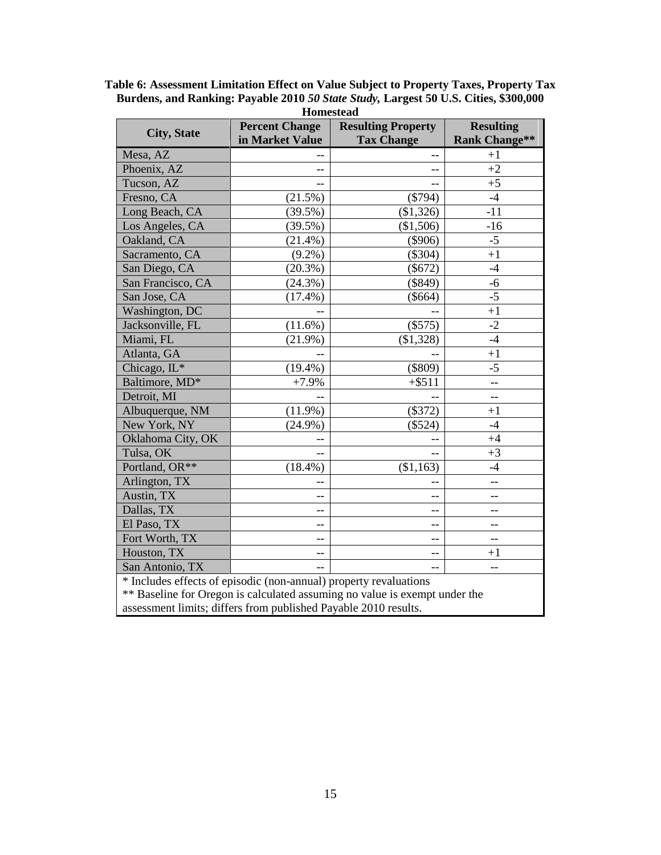| <b>Homestead</b>                                                           |                       |                           |                          |  |
|----------------------------------------------------------------------------|-----------------------|---------------------------|--------------------------|--|
|                                                                            | <b>Percent Change</b> | <b>Resulting Property</b> | <b>Resulting</b>         |  |
| <b>City, State</b>                                                         | in Market Value       | <b>Tax Change</b>         | <b>Rank Change**</b>     |  |
| Mesa, AZ                                                                   |                       | $-$                       | $+1$                     |  |
| Phoenix, AZ                                                                |                       | --                        | $+2$                     |  |
| Tucson, AZ                                                                 | $-$                   | $-$                       | $+5$                     |  |
| Fresno, CA                                                                 | (21.5%)               | $(\$794)$                 | $-4$                     |  |
| Long Beach, CA                                                             | $(39.5\%)$            | (\$1,326)                 | $-11$                    |  |
| Los Angeles, CA                                                            | $(39.5\%)$            | (\$1,506)                 | $-16$                    |  |
| Oakland, CA                                                                | $(21.4\%)$            | $(\$906)$                 | $-5$                     |  |
| Sacramento, CA                                                             | $(9.2\%)$             | $(\$304)$                 | $+1$                     |  |
| San Diego, CA                                                              | $(20.3\%)$            | $(\$672)$                 | $-4$                     |  |
| San Francisco, CA                                                          | (24.3%)               | (\$849)                   | $-6$                     |  |
| San Jose, CA                                                               | $(17.4\%)$            | $(\$664)$                 | $-5$                     |  |
| Washington, DC                                                             |                       |                           | $+1$                     |  |
| Jacksonville, FL                                                           | $(11.6\%)$            | (\$575)                   | $-2$                     |  |
| Miami, FL                                                                  | $(21.9\%)$            | (\$1,328)                 | $-4$                     |  |
| Atlanta, GA                                                                |                       |                           | $+1$                     |  |
| Chicago, IL*                                                               | $(19.4\%)$            | (\$809)                   | $-5$                     |  |
| Baltimore, MD*                                                             | $+7.9%$               | $+ $511$                  | $-$                      |  |
| Detroit, MI                                                                |                       |                           | $-$                      |  |
| Albuquerque, NM                                                            | $(11.9\%)$            | (\$372)                   | $+1$                     |  |
| New York, NY                                                               | $(24.9\%)$            | (\$524)                   | $-4$                     |  |
| Oklahoma City, OK                                                          |                       |                           | $+4$                     |  |
| Tulsa, OK                                                                  |                       |                           | $+3$                     |  |
| Portland, OR**                                                             | $(18.4\%)$            | (\$1,163)                 | $-4$                     |  |
| Arlington, TX                                                              |                       |                           | $-$                      |  |
| Austin, TX                                                                 |                       |                           | $-$                      |  |
| Dallas, TX                                                                 | $-$                   | $-$                       | $\overline{a}$           |  |
| El Paso, TX                                                                | --                    | --                        | --                       |  |
| Fort Worth, TX                                                             | $-$                   | $-$                       | $-$                      |  |
| Houston, TX                                                                | $-$                   | $-$                       | $+1$                     |  |
| San Antonio, TX                                                            |                       | $-$                       | $\overline{\phantom{m}}$ |  |
| * Includes effects of episodic (non-annual) property revaluations          |                       |                           |                          |  |
| ** Baseline for Oregon is calculated assuming no value is exempt under the |                       |                           |                          |  |
| assessment limits; differs from published Payable 2010 results.            |                       |                           |                          |  |

<span id="page-18-0"></span>**Table 6: Assessment Limitation Effect on Value Subject to Property Taxes, Property Tax Burdens, and Ranking: Payable 2010** *50 State Study,* **Largest 50 U.S. Cities, \$300,000**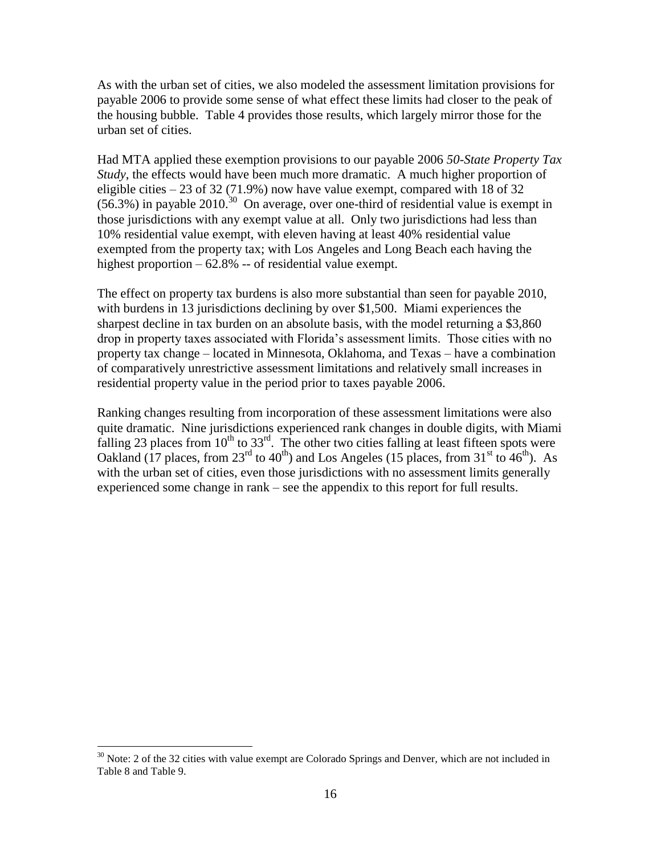As with the urban set of cities, we also modeled the assessment limitation provisions for payable 2006 to provide some sense of what effect these limits had closer to the peak of the housing bubble. [Table 4](#page-15-0) provides those results, which largely mirror those for the urban set of cities.

Had MTA applied these exemption provisions to our payable 2006 *50-State Property Tax Study*, the effects would have been much more dramatic. A much higher proportion of eligible cities  $-23$  of 32 (71.9%) now have value exempt, compared with 18 of 32  $(56.3%)$  in payable 2010.<sup>30</sup> On average, over one-third of residential value is exempt in those jurisdictions with any exempt value at all. Only two jurisdictions had less than 10% residential value exempt, with eleven having at least 40% residential value exempted from the property tax; with Los Angeles and Long Beach each having the highest proportion – 62.8% -- of residential value exempt.

The effect on property tax burdens is also more substantial than seen for payable 2010, with burdens in 13 jurisdictions declining by over \$1,500. Miami experiences the sharpest decline in tax burden on an absolute basis, with the model returning a \$3,860 drop in property taxes associated with Florida's assessment limits. Those cities with no property tax change – located in Minnesota, Oklahoma, and Texas – have a combination of comparatively unrestrictive assessment limitations and relatively small increases in residential property value in the period prior to taxes payable 2006.

Ranking changes resulting from incorporation of these assessment limitations were also quite dramatic. Nine jurisdictions experienced rank changes in double digits, with Miami falling 23 places from  $10^{th}$  to 33<sup>rd</sup>. The other two cities falling at least fifteen spots were Oakland (17 places, from 23<sup>rd</sup> to 40<sup>th</sup>) and Los Angeles (15 places, from 31<sup>st</sup> to 46<sup>th</sup>). As with the urban set of cities, even those jurisdictions with no assessment limits generally experienced some change in rank – see the appendix to this report for full results.

 $30$  Note: 2 of the 32 cities with value exempt are Colorado Springs and Denver, which are not included in [Table 8](#page-22-0) an[d Table 9.](#page-23-0)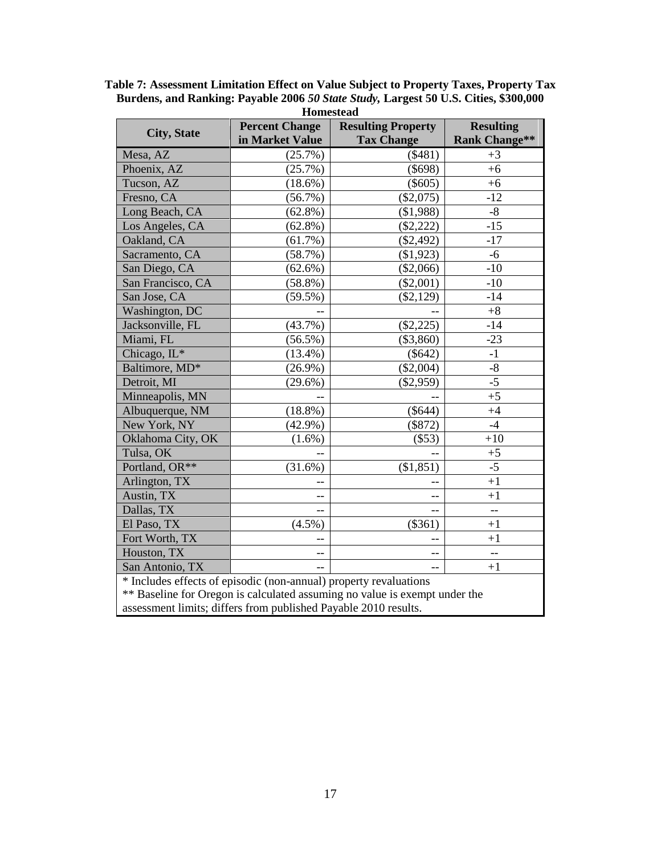| <b>Homestead</b>                                                           |                       |                           |                          |  |
|----------------------------------------------------------------------------|-----------------------|---------------------------|--------------------------|--|
| <b>City, State</b>                                                         | <b>Percent Change</b> | <b>Resulting Property</b> | <b>Resulting</b>         |  |
|                                                                            | in Market Value       | <b>Tax Change</b>         | <b>Rank Change**</b>     |  |
| Mesa, AZ                                                                   | $(25.7\%)$            | (\$481)                   | $+3$                     |  |
| Phoenix, AZ                                                                | (25.7%)               | (\$698)                   | $+6$                     |  |
| Tucson, AZ                                                                 | $(18.6\%)$            | $(\$605)$                 | $+6$                     |  |
| Fresno, CA                                                                 | $(56.7\%)$            | $(\$2,075)$               | $-12$                    |  |
| Long Beach, CA                                                             | $(62.8\%)$            | (\$1,988)                 | $-8$                     |  |
| Los Angeles, CA                                                            | $(62.8\%)$            | $(\$2,222)$               | $-15$                    |  |
| Oakland, CA                                                                | (61.7%)               | $(\$2,492)$               | $-17$                    |  |
| Sacramento, CA                                                             | (58.7%)               | (\$1,923)                 | $-6$                     |  |
| San Diego, CA                                                              | $(62.6\%)$            | (\$2,066)                 | $-10$                    |  |
| San Francisco, CA                                                          | $(58.8\%)$            | $(\$2,001)$               | $-10$                    |  |
| San Jose, CA                                                               | $(59.5\%)$            | $(\$2,129)$               | $-14$                    |  |
| Washington, DC                                                             |                       |                           | $+8$                     |  |
| Jacksonville, FL                                                           | (43.7%)               | $(\$2,225)$               | $-14$                    |  |
| Miami, FL                                                                  | $(56.5\%)$            | $(\$3,860)$               | $-23$                    |  |
| Chicago, IL*                                                               | $(13.4\%)$            | $(\$642)$                 | $-1$                     |  |
| Baltimore, MD*                                                             | $(26.9\%)$            | $(\$2,004)$               | $-8$                     |  |
| Detroit, MI                                                                | $(29.6\%)$            | $(\$2,959)$               | $-5$                     |  |
| Minneapolis, MN                                                            |                       |                           | $+5\,$                   |  |
| Albuquerque, NM                                                            | $(18.8\%)$            | $(\$644)$                 | $+4$                     |  |
| New York, NY                                                               | $(42.9\%)$            | (\$872)                   | $-4$                     |  |
| Oklahoma City, OK                                                          | $(1.6\%)$             | (\$53)                    | $+10$                    |  |
| Tulsa, OK                                                                  |                       |                           | $+5$                     |  |
| Portland, OR**                                                             | (31.6%)               | (\$1,851)                 | $-5$                     |  |
| Arlington, TX                                                              |                       |                           | $+1$                     |  |
| Austin, TX                                                                 |                       |                           | $+1$                     |  |
| Dallas, TX                                                                 | $-$                   | $-$                       | $\overline{a}$           |  |
| El Paso, TX                                                                | $(4.5\%)$             | (\$361)                   | $+1$                     |  |
| Fort Worth, TX                                                             |                       |                           | $+1$                     |  |
| Houston, TX                                                                | --                    | $-$                       | $\overline{\phantom{m}}$ |  |
| San Antonio, TX                                                            |                       |                           | $+1$                     |  |
| * Includes effects of episodic (non-annual) property revaluations          |                       |                           |                          |  |
| ** Baseline for Oregon is calculated assuming no value is exempt under the |                       |                           |                          |  |
| assessment limits; differs from published Payable 2010 results.            |                       |                           |                          |  |

**Table 7: Assessment Limitation Effect on Value Subject to Property Taxes, Property Tax Burdens, and Ranking: Payable 2006** *50 State Study,* **Largest 50 U.S. Cities, \$300,000**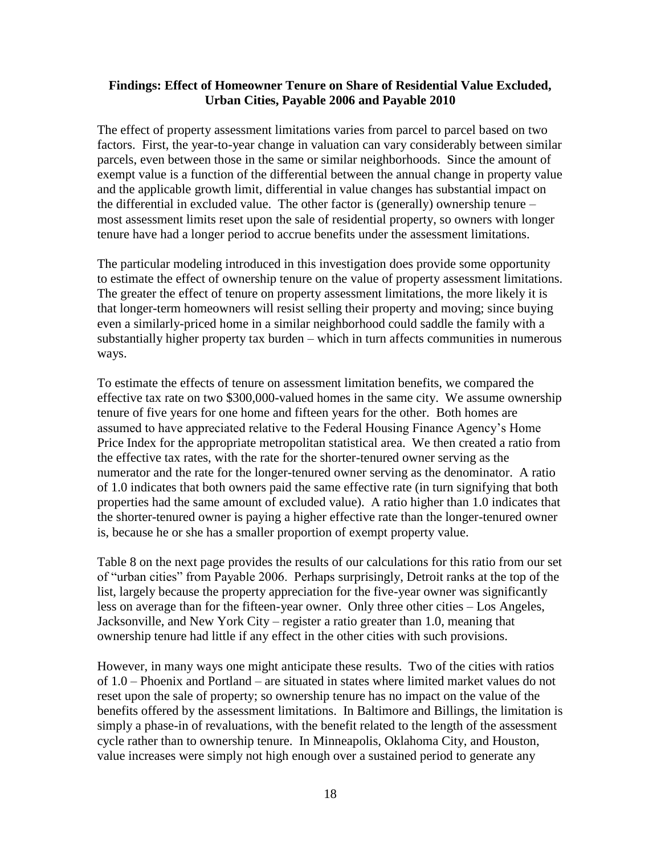#### **Findings: Effect of Homeowner Tenure on Share of Residential Value Excluded, Urban Cities, Payable 2006 and Payable 2010**

The effect of property assessment limitations varies from parcel to parcel based on two factors. First, the year-to-year change in valuation can vary considerably between similar parcels, even between those in the same or similar neighborhoods. Since the amount of exempt value is a function of the differential between the annual change in property value and the applicable growth limit, differential in value changes has substantial impact on the differential in excluded value. The other factor is (generally) ownership tenure – most assessment limits reset upon the sale of residential property, so owners with longer tenure have had a longer period to accrue benefits under the assessment limitations.

The particular modeling introduced in this investigation does provide some opportunity to estimate the effect of ownership tenure on the value of property assessment limitations. The greater the effect of tenure on property assessment limitations, the more likely it is that longer-term homeowners will resist selling their property and moving; since buying even a similarly-priced home in a similar neighborhood could saddle the family with a substantially higher property tax burden – which in turn affects communities in numerous ways.

To estimate the effects of tenure on assessment limitation benefits, we compared the effective tax rate on two \$300,000-valued homes in the same city. We assume ownership tenure of five years for one home and fifteen years for the other. Both homes are assumed to have appreciated relative to the Federal Housing Finance Agency's Home Price Index for the appropriate metropolitan statistical area. We then created a ratio from the effective tax rates, with the rate for the shorter-tenured owner serving as the numerator and the rate for the longer-tenured owner serving as the denominator. A ratio of 1.0 indicates that both owners paid the same effective rate (in turn signifying that both properties had the same amount of excluded value). A ratio higher than 1.0 indicates that the shorter-tenured owner is paying a higher effective rate than the longer-tenured owner is, because he or she has a smaller proportion of exempt property value.

[Table 8](#page-22-0) on the next page provides the results of our calculations for this ratio from our set of "urban cities" from Payable 2006. Perhaps surprisingly, Detroit ranks at the top of the list, largely because the property appreciation for the five-year owner was significantly less on average than for the fifteen-year owner. Only three other cities – Los Angeles, Jacksonville, and New York City – register a ratio greater than 1.0, meaning that ownership tenure had little if any effect in the other cities with such provisions.

However, in many ways one might anticipate these results. Two of the cities with ratios of 1.0 – Phoenix and Portland – are situated in states where limited market values do not reset upon the sale of property; so ownership tenure has no impact on the value of the benefits offered by the assessment limitations. In Baltimore and Billings, the limitation is simply a phase-in of revaluations, with the benefit related to the length of the assessment cycle rather than to ownership tenure. In Minneapolis, Oklahoma City, and Houston, value increases were simply not high enough over a sustained period to generate any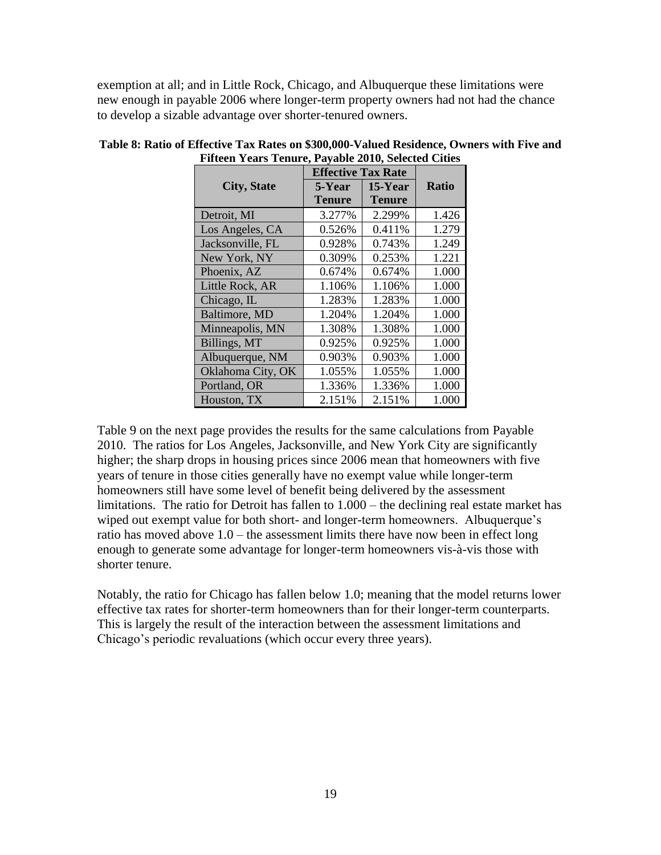exemption at all; and in Little Rock, Chicago, and Albuquerque these limitations were new enough in payable 2006 where longer-term property owners had not had the chance to develop a sizable advantage over shorter-tenured owners.

|                    | <b>Effective Tax Rate</b> |               |              |
|--------------------|---------------------------|---------------|--------------|
| <b>City, State</b> | 5-Year                    | $15$ -Year    | <b>Ratio</b> |
|                    | <b>Tenure</b>             | <b>Tenure</b> |              |
| Detroit, MI        | 3.277%                    | 2.299%        | 1.426        |
| Los Angeles, CA    | 0.526%                    | 0.411%        | 1.279        |
| Jacksonville, FL   | 0.928%                    | 0.743%        | 1.249        |
| New York, NY       | 0.309%                    | 0.253%        | 1.221        |
| Phoenix, AZ        | 0.674%                    | 0.674%        | 1.000        |
| Little Rock, AR    | 1.106%                    | 1.106%        | 1.000        |
| Chicago, IL        | 1.283%                    | 1.283%        | 1.000        |
| Baltimore, MD      | 1.204%                    | 1.204%        | 1.000        |
| Minneapolis, MN    | 1.308%                    | 1.308%        | 1.000        |
| Billings, MT       | 0.925%                    | 0.925%        | 1.000        |
| Albuquerque, NM    | 0.903%                    | 0.903%        | 1.000        |
| Oklahoma City, OK  | 1.055%                    | 1.055%        | 1.000        |
| Portland, OR       | 1.336%                    | 1.336%        | 1.000        |
| Houston, TX        | 2.151%                    | 2.151%        | 1.000        |

#### <span id="page-22-0"></span>**Table 8: Ratio of Effective Tax Rates on \$300,000-Valued Residence, Owners with Five and Fifteen Years Tenure, Payable 2010, Selected Cities**

[Table 9](#page-23-0) on the next page provides the results for the same calculations from Payable 2010. The ratios for Los Angeles, Jacksonville, and New York City are significantly higher; the sharp drops in housing prices since 2006 mean that homeowners with five years of tenure in those cities generally have no exempt value while longer-term homeowners still have some level of benefit being delivered by the assessment limitations. The ratio for Detroit has fallen to 1.000 – the declining real estate market has wiped out exempt value for both short- and longer-term homeowners. Albuquerque's ratio has moved above 1.0 – the assessment limits there have now been in effect long enough to generate some advantage for longer-term homeowners vis-à-vis those with shorter tenure.

Notably, the ratio for Chicago has fallen below 1.0; meaning that the model returns lower effective tax rates for shorter-term homeowners than for their longer-term counterparts. This is largely the result of the interaction between the assessment limitations and Chicago's periodic revaluations (which occur every three years).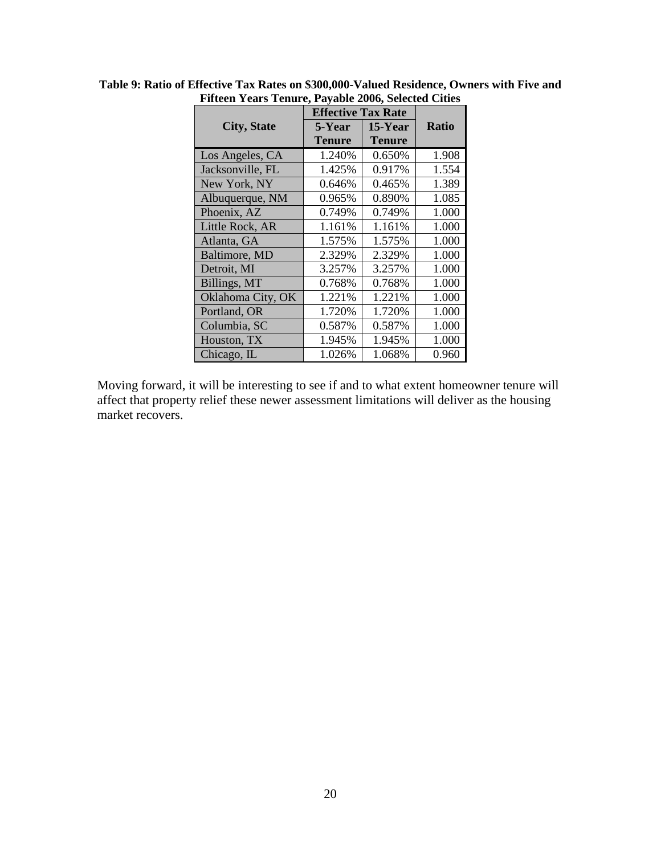|                    |               | <b>Effective Tax Rate</b> |              |  |
|--------------------|---------------|---------------------------|--------------|--|
| <b>City, State</b> | 5-Year        | $15$ -Year                | <b>Ratio</b> |  |
|                    | <b>Tenure</b> | Tenure                    |              |  |
| Los Angeles, CA    | 1.240%        | 0.650%                    | 1.908        |  |
| Jacksonville, FL   | 1.425%        | 0.917%                    | 1.554        |  |
| New York, NY       | 0.646%        | 0.465%                    | 1.389        |  |
| Albuquerque, NM    | 0.965%        | 0.890%                    | 1.085        |  |
| Phoenix, AZ        | 0.749%        | 0.749%                    | 1.000        |  |
| Little Rock, AR    | 1.161%        | 1.161%                    | 1.000        |  |
| Atlanta, GA        | 1.575%        | 1.575%                    | 1.000        |  |
| Baltimore, MD      | 2.329%        | 2.329%                    | 1.000        |  |
| Detroit, MI        | 3.257%        | 3.257%                    | 1.000        |  |
| Billings, MT       | 0.768%        | 0.768%                    | 1.000        |  |
| Oklahoma City, OK  | 1.221%        | 1.221%                    | 1.000        |  |
| Portland, OR       | 1.720%        | 1.720%                    | 1.000        |  |
| Columbia, SC       | 0.587%        | 0.587%                    | 1.000        |  |
| Houston, TX        | 1.945%        | 1.945%                    | 1.000        |  |
| Chicago, IL        | 1.026%        | 1.068%                    | 0.960        |  |

<span id="page-23-0"></span>**Table 9: Ratio of Effective Tax Rates on \$300,000-Valued Residence, Owners with Five and Fifteen Years Tenure, Payable 2006, Selected Cities**

Moving forward, it will be interesting to see if and to what extent homeowner tenure will affect that property relief these newer assessment limitations will deliver as the housing market recovers.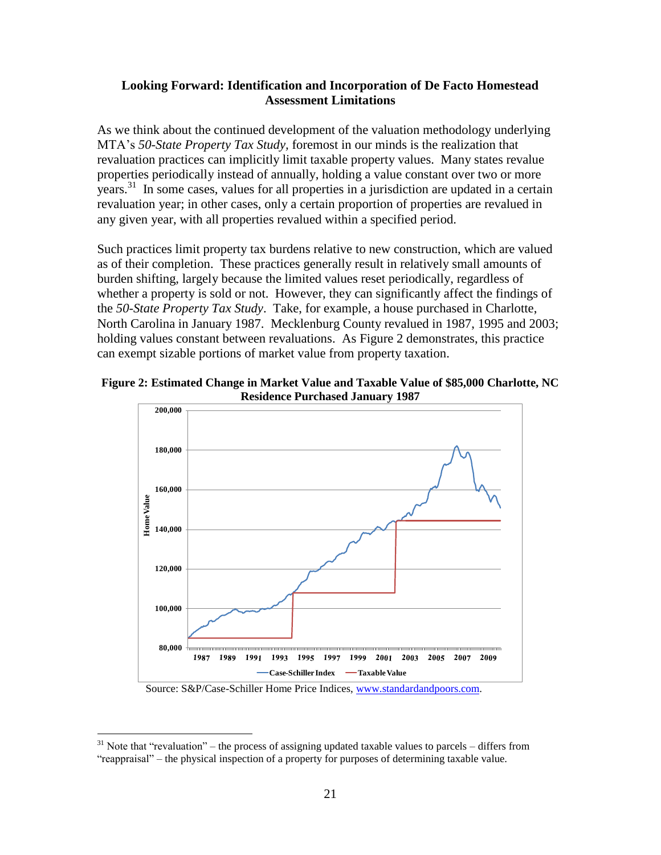#### **Looking Forward: Identification and Incorporation of De Facto Homestead Assessment Limitations**

As we think about the continued development of the valuation methodology underlying MTA's *50-State Property Tax Study,* foremost in our minds is the realization that revaluation practices can implicitly limit taxable property values. Many states revalue properties periodically instead of annually, holding a value constant over two or more years.<sup>31</sup> In some cases, values for all properties in a jurisdiction are updated in a certain revaluation year; in other cases, only a certain proportion of properties are revalued in any given year, with all properties revalued within a specified period.

Such practices limit property tax burdens relative to new construction, which are valued as of their completion. These practices generally result in relatively small amounts of burden shifting, largely because the limited values reset periodically, regardless of whether a property is sold or not. However, they can significantly affect the findings of the *50-State Property Tax Study*. Take, for example, a house purchased in Charlotte, North Carolina in January 1987. Mecklenburg County revalued in 1987, 1995 and 2003; holding values constant between revaluations. As [Figure 2](#page-24-0) demonstrates, this practice can exempt sizable portions of market value from property taxation.

<span id="page-24-0"></span>



Source: S&P/Case-Schiller Home Price Indices, [www.standardandpoors.com.](http://www.standardandpoors.com/)

 $31$  Note that "revaluation" – the process of assigning updated taxable values to parcels – differs from "reappraisal" – the physical inspection of a property for purposes of determining taxable value.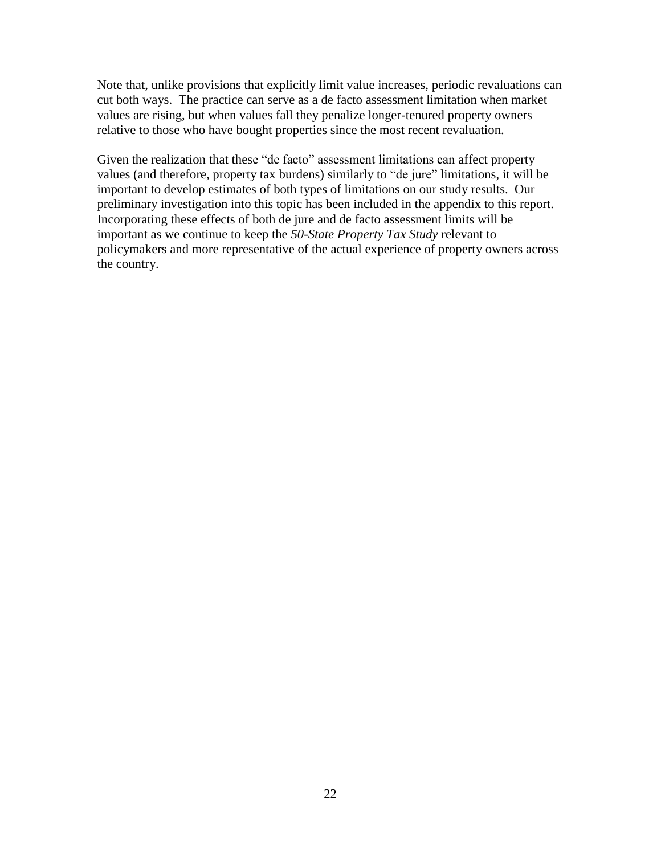Note that, unlike provisions that explicitly limit value increases, periodic revaluations can cut both ways. The practice can serve as a de facto assessment limitation when market values are rising, but when values fall they penalize longer-tenured property owners relative to those who have bought properties since the most recent revaluation.

Given the realization that these "de facto" assessment limitations can affect property values (and therefore, property tax burdens) similarly to "de jure" limitations, it will be important to develop estimates of both types of limitations on our study results. Our preliminary investigation into this topic has been included in the appendix to this report. Incorporating these effects of both de jure and de facto assessment limits will be important as we continue to keep the *50-State Property Tax Study* relevant to policymakers and more representative of the actual experience of property owners across the country.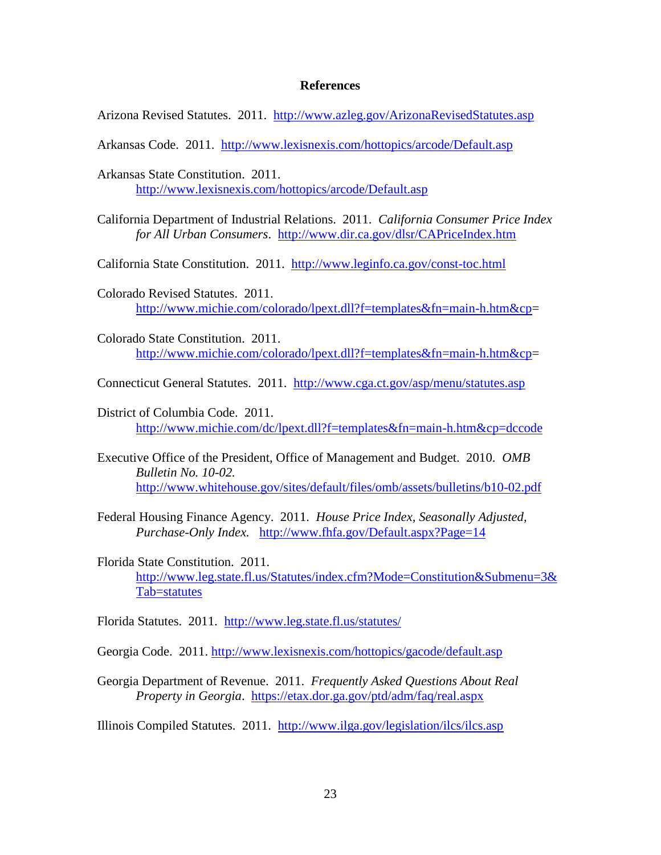#### **References**

Arizona Revised Statutes. 2011. <http://www.azleg.gov/ArizonaRevisedStatutes.asp>

Arkansas Code. 2011. <http://www.lexisnexis.com/hottopics/arcode/Default.asp>

- Arkansas State Constitution. 2011. <http://www.lexisnexis.com/hottopics/arcode/Default.asp>
- California Department of Industrial Relations. 2011. *California Consumer Price Index for All Urban Consumers*. <http://www.dir.ca.gov/dlsr/CAPriceIndex.htm>

California State Constitution. 2011. <http://www.leginfo.ca.gov/const-toc.html>

- Colorado Revised Statutes. 2011. [http://www.michie.com/colorado/lpext.dll?f=templates&fn=main-h.htm&cp=](http://www.michie.com/colorado/lpext.dll?f=templates&fn=main-h.htm&cp)
- Colorado State Constitution. 2011. [http://www.michie.com/colorado/lpext.dll?f=templates&fn=main-h.htm&cp=](http://www.michie.com/colorado/lpext.dll?f=templates&fn=main-h.htm&cp)
- Connecticut General Statutes. 2011. <http://www.cga.ct.gov/asp/menu/statutes.asp>
- District of Columbia Code. 2011. <http://www.michie.com/dc/lpext.dll?f=templates&fn=main-h.htm&cp=dccode>
- Executive Office of the President, Office of Management and Budget. 2010. *OMB Bulletin No. 10-02.* <http://www.whitehouse.gov/sites/default/files/omb/assets/bulletins/b10-02.pdf>
- Federal Housing Finance Agency. 2011. *House Price Index, Seasonally Adjusted, Purchase-Only Index.* <http://www.fhfa.gov/Default.aspx?Page=14>
- Florida State Constitution. 2011. [http://www.leg.state.fl.us/Statutes/index.cfm?Mode=Constitution&Submenu=3&](http://www.leg.state.fl.us/Statutes/index.cfm?Mode=Constitution&Submenu=3&Tab=statutes) [Tab=statutes](http://www.leg.state.fl.us/Statutes/index.cfm?Mode=Constitution&Submenu=3&Tab=statutes)

Florida Statutes. 2011. <http://www.leg.state.fl.us/statutes/>

Georgia Code. 2011.<http://www.lexisnexis.com/hottopics/gacode/default.asp>

- Georgia Department of Revenue. 2011. *Frequently Asked Questions About Real Property in Georgia*. <https://etax.dor.ga.gov/ptd/adm/faq/real.aspx>
- Illinois Compiled Statutes. 2011. <http://www.ilga.gov/legislation/ilcs/ilcs.asp>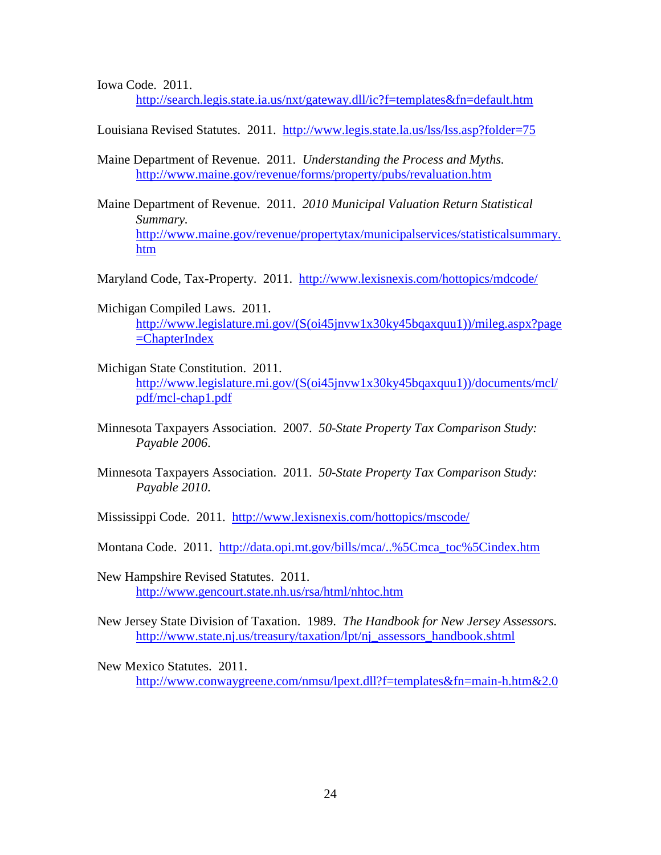Iowa Code. 2011.

<http://search.legis.state.ia.us/nxt/gateway.dll/ic?f=templates&fn=default.htm>

Louisiana Revised Statutes. 2011. <http://www.legis.state.la.us/lss/lss.asp?folder=75>

Maine Department of Revenue. 2011. *Understanding the Process and Myths.* <http://www.maine.gov/revenue/forms/property/pubs/revaluation.htm>

Maine Department of Revenue. 2011. *2010 Municipal Valuation Return Statistical Summary.* [http://www.maine.gov/revenue/propertytax/municipalservices/statisticalsummary.](http://www.maine.gov/revenue/propertytax/municipalservices/statisticalsummary.htm) [htm](http://www.maine.gov/revenue/propertytax/municipalservices/statisticalsummary.htm)

Maryland Code, Tax-Property. 2011. <http://www.lexisnexis.com/hottopics/mdcode/>

Michigan Compiled Laws. 2011. [http://www.legislature.mi.gov/\(S\(oi45jnvw1x30ky45bqaxquu1\)\)/mileg.aspx?page](http://www.legislature.mi.gov/(S(oi45jnvw1x30ky45bqaxquu1))/mileg.aspx?page=ChapterIndex) [=ChapterIndex](http://www.legislature.mi.gov/(S(oi45jnvw1x30ky45bqaxquu1))/mileg.aspx?page=ChapterIndex)

- Michigan State Constitution. 2011. [http://www.legislature.mi.gov/\(S\(oi45jnvw1x30ky45bqaxquu1\)\)/documents/mcl/](http://www.legislature.mi.gov/(S(oi45jnvw1x30ky45bqaxquu1))/documents/mcl/pdf/mcl-chap1.pdf) [pdf/mcl-chap1.pdf](http://www.legislature.mi.gov/(S(oi45jnvw1x30ky45bqaxquu1))/documents/mcl/pdf/mcl-chap1.pdf)
- Minnesota Taxpayers Association. 2007. *50-State Property Tax Comparison Study: Payable 2006*.
- Minnesota Taxpayers Association. 2011. *50-State Property Tax Comparison Study: Payable 2010*.

Mississippi Code. 2011. <http://www.lexisnexis.com/hottopics/mscode/>

Montana Code. 2011. [http://data.opi.mt.gov/bills/mca/..%5Cmca\\_toc%5Cindex.htm](http://data.opi.mt.gov/bills/mca/..%5Cmca_toc%5Cindex.htm)

New Hampshire Revised Statutes. 2011. <http://www.gencourt.state.nh.us/rsa/html/nhtoc.htm>

New Jersey State Division of Taxation. 1989. *The Handbook for New Jersey Assessors.*  [http://www.state.nj.us/treasury/taxation/lpt/nj\\_assessors\\_handbook.shtml](http://www.state.nj.us/treasury/taxation/lpt/nj_assessors_handbook.shtml)

New Mexico Statutes. 2011. <http://www.conwaygreene.com/nmsu/lpext.dll?f=templates&fn=main-h.htm&2.0>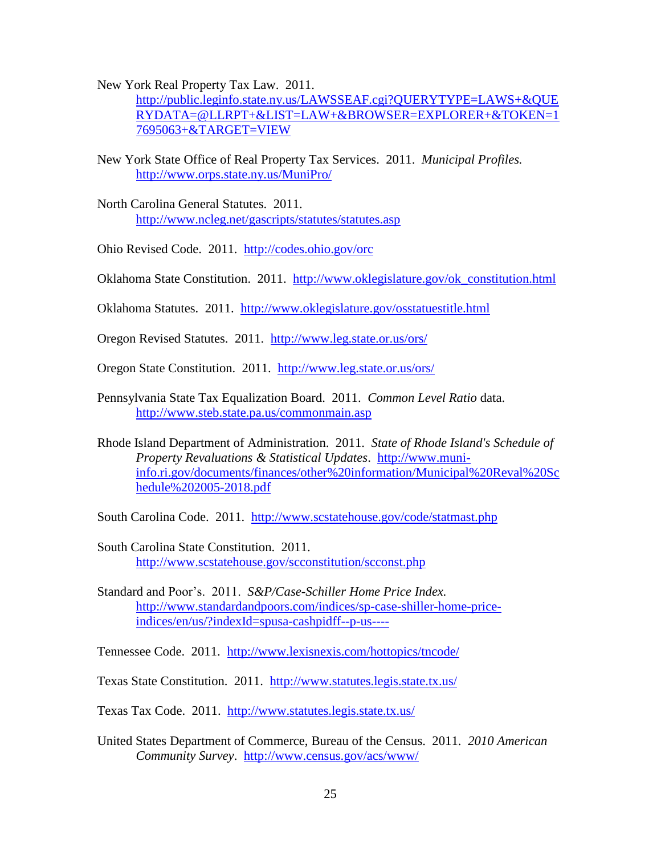New York Real Property Tax Law. 2011.

[http://public.leginfo.state.ny.us/LAWSSEAF.cgi?QUERYTYPE=LAWS+&QUE](http://public.leginfo.state.ny.us/LAWSSEAF.cgi?QUERYTYPE=LAWS+&QUERYDATA=@LLRPT+&LIST=LAW+&BROWSER=EXPLORER+&TOKEN=17695063+&TARGET=VIEW) [RYDATA=@LLRPT+&LIST=LAW+&BROWSER=EXPLORER+&TOKEN=1](http://public.leginfo.state.ny.us/LAWSSEAF.cgi?QUERYTYPE=LAWS+&QUERYDATA=@LLRPT+&LIST=LAW+&BROWSER=EXPLORER+&TOKEN=17695063+&TARGET=VIEW) [7695063+&TARGET=VIEW](http://public.leginfo.state.ny.us/LAWSSEAF.cgi?QUERYTYPE=LAWS+&QUERYDATA=@LLRPT+&LIST=LAW+&BROWSER=EXPLORER+&TOKEN=17695063+&TARGET=VIEW)

- New York State Office of Real Property Tax Services. 2011. *Municipal Profiles.* <http://www.orps.state.ny.us/MuniPro/>
- North Carolina General Statutes. 2011. <http://www.ncleg.net/gascripts/statutes/statutes.asp>
- Ohio Revised Code. 2011. <http://codes.ohio.gov/orc>
- Oklahoma State Constitution. 2011. [http://www.oklegislature.gov/ok\\_constitution.html](http://www.oklegislature.gov/ok_constitution.html)
- Oklahoma Statutes. 2011. <http://www.oklegislature.gov/osstatuestitle.html>
- Oregon Revised Statutes. 2011. <http://www.leg.state.or.us/ors/>
- Oregon State Constitution. 2011. <http://www.leg.state.or.us/ors/>
- Pennsylvania State Tax Equalization Board. 2011. *Common Level Ratio* data. <http://www.steb.state.pa.us/commonmain.asp>
- Rhode Island Department of Administration. 2011. *State of Rhode Island's Schedule of Property Revaluations & Statistical Updates*. [http://www.muni](http://www.muni-info.ri.gov/documents/finances/other%20information/Municipal%20Reval%20Schedule%202005-2018.pdf)[info.ri.gov/documents/finances/other%20information/Municipal%20Reval%20Sc](http://www.muni-info.ri.gov/documents/finances/other%20information/Municipal%20Reval%20Schedule%202005-2018.pdf) [hedule%202005-2018.pdf](http://www.muni-info.ri.gov/documents/finances/other%20information/Municipal%20Reval%20Schedule%202005-2018.pdf)
- South Carolina Code. 2011. <http://www.scstatehouse.gov/code/statmast.php>
- South Carolina State Constitution. 2011. <http://www.scstatehouse.gov/scconstitution/scconst.php>
- Standard and Poor's. 2011. *S&P/Case-Schiller Home Price Index.*  [http://www.standardandpoors.com/indices/sp-case-shiller-home-price](http://www.standardandpoors.com/indices/sp-case-shiller-home-price-indices/en/us/?indexId=spusa-cashpidff--p-us----)[indices/en/us/?indexId=spusa-cashpidff--p-us----](http://www.standardandpoors.com/indices/sp-case-shiller-home-price-indices/en/us/?indexId=spusa-cashpidff--p-us----)

Tennessee Code. 2011. <http://www.lexisnexis.com/hottopics/tncode/>

Texas State Constitution. 2011. <http://www.statutes.legis.state.tx.us/>

Texas Tax Code. 2011. <http://www.statutes.legis.state.tx.us/>

United States Department of Commerce, Bureau of the Census. 2011. *2010 American Community Survey*. <http://www.census.gov/acs/www/>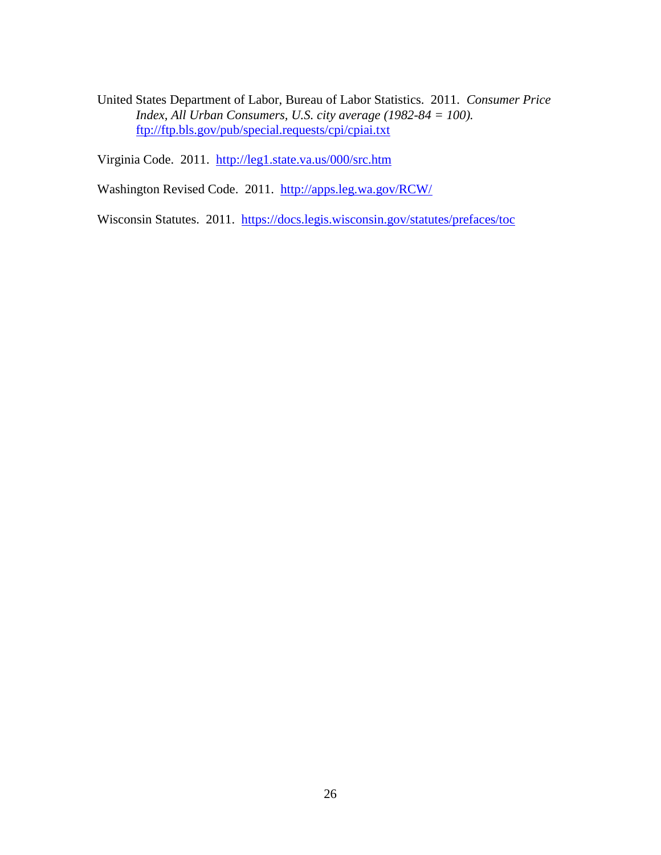United States Department of Labor, Bureau of Labor Statistics. 2011. *Consumer Price Index, All Urban Consumers, U.S. city average (1982-84 = 100).* <ftp://ftp.bls.gov/pub/special.requests/cpi/cpiai.txt>

Virginia Code. 2011. <http://leg1.state.va.us/000/src.htm>

Washington Revised Code. 2011. <http://apps.leg.wa.gov/RCW/>

Wisconsin Statutes. 2011. <https://docs.legis.wisconsin.gov/statutes/prefaces/toc>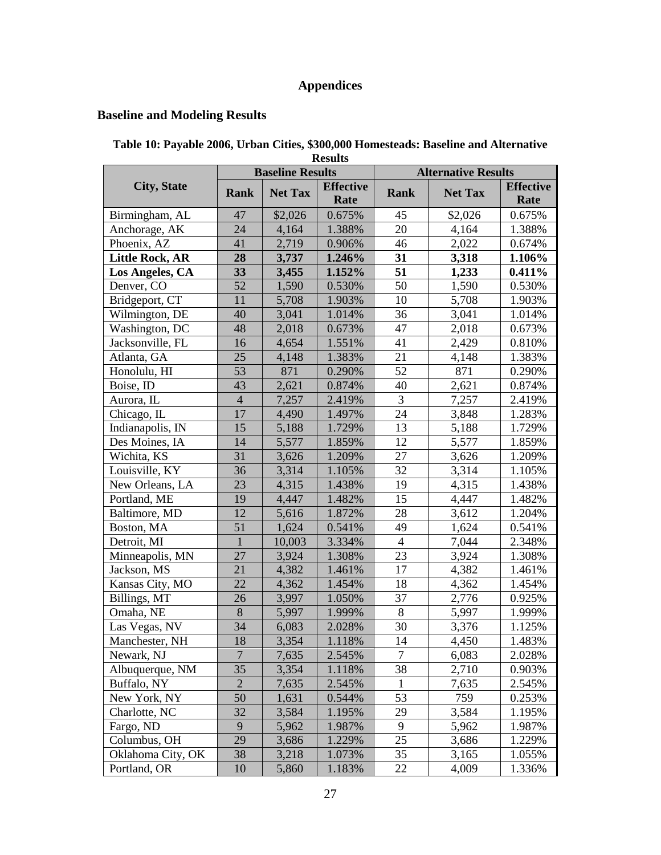# **Appendices**

# **Baseline and Modeling Results**

| Table 10: Payable 2006, Urban Cities, \$300,000 Homesteads: Baseline and Alternative |
|--------------------------------------------------------------------------------------|
| <b>Results</b>                                                                       |

|                        |                | <b>Baseline Results</b> |                          | <b>Alternative Results</b> |                |                          |
|------------------------|----------------|-------------------------|--------------------------|----------------------------|----------------|--------------------------|
| <b>City, State</b>     | <b>Rank</b>    | <b>Net Tax</b>          | <b>Effective</b><br>Rate | <b>Rank</b>                | <b>Net Tax</b> | <b>Effective</b><br>Rate |
| Birmingham, AL         | 47             | \$2,026                 | 0.675%                   | 45                         | \$2,026        | 0.675%                   |
| Anchorage, AK          | 24             | 4,164                   | 1.388%                   | 20                         | 4,164          | 1.388%                   |
| Phoenix, AZ            | 41             | 2,719                   | 0.906%                   | 46                         | 2,022          | 0.674%                   |
| <b>Little Rock, AR</b> | 28             | 3,737                   | 1.246%                   | 31                         | 3,318          | 1.106%                   |
| Los Angeles, CA        | 33             | 3,455                   | 1.152%                   | 51                         | 1,233          | $0.411\%$                |
| Denver, CO             | 52             | 1,590                   | 0.530%                   | 50                         | 1,590          | 0.530%                   |
| Bridgeport, CT         | 11             | 5,708                   | 1.903%                   | 10                         | 5,708          | 1.903%                   |
| Wilmington, DE         | 40             | 3,041                   | 1.014%                   | 36                         | 3,041          | 1.014%                   |
| Washington, DC         | 48             | 2,018                   | 0.673%                   | 47                         | 2,018          | 0.673%                   |
| Jacksonville, FL       | 16             | 4,654                   | 1.551%                   | 41                         | 2,429          | 0.810%                   |
| Atlanta, GA            | 25             | 4,148                   | 1.383%                   | 21                         | 4,148          | 1.383%                   |
| Honolulu, HI           | 53             | 871                     | 0.290%                   | 52                         | 871            | 0.290%                   |
| Boise, ID              | 43             | 2,621                   | 0.874%                   | 40                         | 2,621          | 0.874%                   |
| Aurora, IL             | $\overline{4}$ | 7,257                   | 2.419%                   | 3                          | 7,257          | 2.419%                   |
| Chicago, IL            | 17             | 4,490                   | 1.497%                   | 24                         | 3,848          | 1.283%                   |
| Indianapolis, IN       | 15             | 5,188                   | 1.729%                   | 13                         | 5,188          | 1.729%                   |
| Des Moines, IA         | 14             | 5,577                   | 1.859%                   | 12                         | 5,577          | 1.859%                   |
| Wichita, KS            | 31             | 3,626                   | 1.209%                   | 27                         | 3,626          | 1.209%                   |
| Louisville, KY         | 36             | 3,314                   | 1.105%                   | 32                         | 3,314          | 1.105%                   |
| New Orleans, LA        | 23             | 4,315                   | 1.438%                   | 19                         | 4,315          | 1.438%                   |
| Portland, ME           | 19             | 4,447                   | 1.482%                   | 15                         | 4,447          | 1.482%                   |
| Baltimore, MD          | 12             | 5,616                   | 1.872%                   | 28                         | 3,612          | 1.204%                   |
| Boston, MA             | 51             | 1,624                   | 0.541%                   | 49                         | 1,624          | 0.541%                   |
| Detroit, MI            | $\mathbf 1$    | 10,003                  | 3.334%                   | $\overline{4}$             | 7,044          | 2.348%                   |
| Minneapolis, MN        | 27             | 3,924                   | 1.308%                   | 23                         | 3,924          | 1.308%                   |
| Jackson, MS            | 21             | 4,382                   | 1.461%                   | 17                         | 4,382          | 1.461%                   |
| Kansas City, MO        | 22             | 4,362                   | 1.454%                   | 18                         | 4,362          | 1.454%                   |
| Billings, MT           | 26             | 3,997                   | 1.050%                   | 37                         | 2,776          | 0.925%                   |
| Omaha, NE              | 8              | 5,997                   | 1.999%                   | 8                          | 5,997          | 1.999%                   |
| Las Vegas, NV          | 34             | 6,083                   | 2.028%                   | 30                         | 3,376          | 1.125%                   |
| Manchester, NH         | 18             | 3,354                   | 1.118%                   | 14                         | 4,450          | 1.483%                   |
| Newark, NJ             | $\overline{7}$ | 7,635                   | 2.545%                   | 7                          | 6,083          | 2.028%                   |
| Albuquerque, NM        | 35             | 3,354                   | 1.118%                   | 38                         | 2,710          | 0.903%                   |
| Buffalo, NY            | $\overline{2}$ | 7,635                   | 2.545%                   | 1                          | 7,635          | 2.545%                   |
| New York, NY           | 50             | 1,631                   | 0.544%                   | 53                         | 759            | 0.253%                   |
| Charlotte, NC          | 32             | 3,584                   | 1.195%                   | 29                         | 3,584          | 1.195%                   |
| Fargo, ND              | 9              | 5,962                   | 1.987%                   | 9                          | 5,962          | 1.987%                   |
| Columbus, OH           | 29             | 3,686                   | 1.229%                   | 25                         | 3,686          | 1.229%                   |
| Oklahoma City, OK      | 38             | 3,218                   | 1.073%                   | 35                         | 3,165          | 1.055%                   |
| Portland, OR           | 10             | 5,860                   | 1.183%                   | 22                         | 4,009          | 1.336%                   |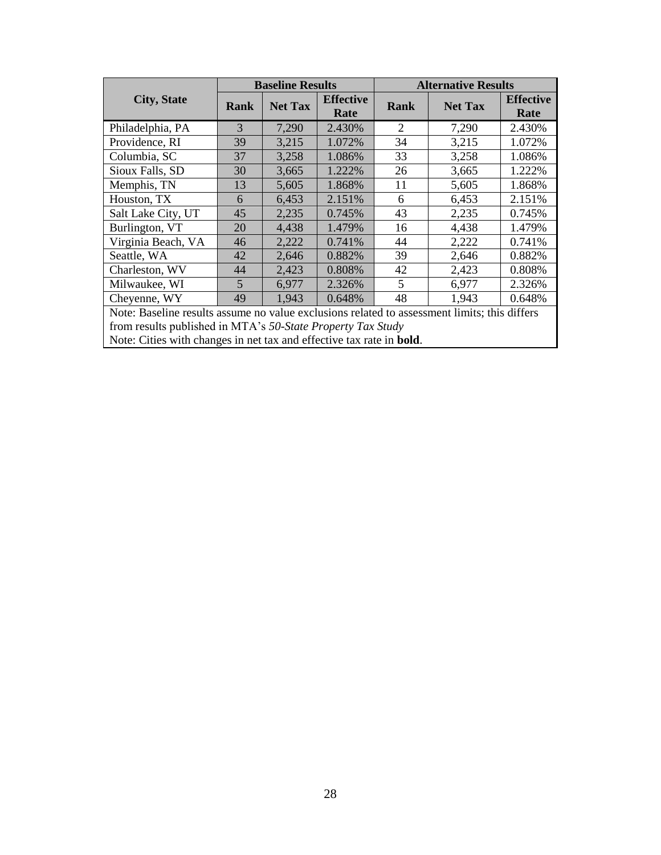|                                                                                                                                                                                                                                             |      | <b>Baseline Results</b> |                          | <b>Alternative Results</b> |                |                          |  |
|---------------------------------------------------------------------------------------------------------------------------------------------------------------------------------------------------------------------------------------------|------|-------------------------|--------------------------|----------------------------|----------------|--------------------------|--|
| <b>City, State</b>                                                                                                                                                                                                                          | Rank | <b>Net Tax</b>          | <b>Effective</b><br>Rate | Rank                       | <b>Net Tax</b> | <b>Effective</b><br>Rate |  |
| Philadelphia, PA                                                                                                                                                                                                                            | 3    | 7,290                   | 2.430%                   | 2                          | 7,290          | 2.430%                   |  |
| Providence, RI                                                                                                                                                                                                                              | 39   | 3,215                   | 1.072%                   | 34                         | 3,215          | 1.072%                   |  |
| Columbia, SC                                                                                                                                                                                                                                | 37   | 3,258                   | 1.086%                   | 33                         | 3,258          | 1.086%                   |  |
| Sioux Falls, SD                                                                                                                                                                                                                             | 30   | 3,665                   | 1.222%                   | 26                         | 3,665          | 1.222%                   |  |
| Memphis, TN                                                                                                                                                                                                                                 | 13   | 5,605                   | 1.868%                   | 11                         | 5,605          | 1.868%                   |  |
| Houston, TX                                                                                                                                                                                                                                 | 6    | 6,453                   | 2.151%                   | 6                          | 6,453          | 2.151\%                  |  |
| Salt Lake City, UT                                                                                                                                                                                                                          | 45   | 2,235                   | 0.745%                   | 43                         | 2,235          | 0.745%                   |  |
| Burlington, VT                                                                                                                                                                                                                              | 20   | 4,438                   | 1.479%                   | 16                         | 4,438          | 1.479%                   |  |
| Virginia Beach, VA                                                                                                                                                                                                                          | 46   | 2,222                   | 0.741\%                  | 44                         | 2,222          | 0.741%                   |  |
| Seattle, WA                                                                                                                                                                                                                                 | 42   | 2,646                   | 0.882%                   | 39                         | 2,646          | 0.882%                   |  |
| Charleston, WV                                                                                                                                                                                                                              | 44   | 2,423                   | 0.808%                   | 42                         | 2,423          | 0.808%                   |  |
| Milwaukee, WI                                                                                                                                                                                                                               | 5    | 6,977                   | 2.326\%                  | 5                          | 6,977          | 2.326\%                  |  |
| Cheyenne, WY                                                                                                                                                                                                                                | 49   | 1,943                   | 0.648%                   | 48                         | 1,943          | 0.648%                   |  |
| Note: Baseline results assume no value exclusions related to assessment limits; this differs<br>from results published in MTA's 50-State Property Tax Study<br>Note: Cities with changes in net tax and effective tax rate in <b>bold</b> . |      |                         |                          |                            |                |                          |  |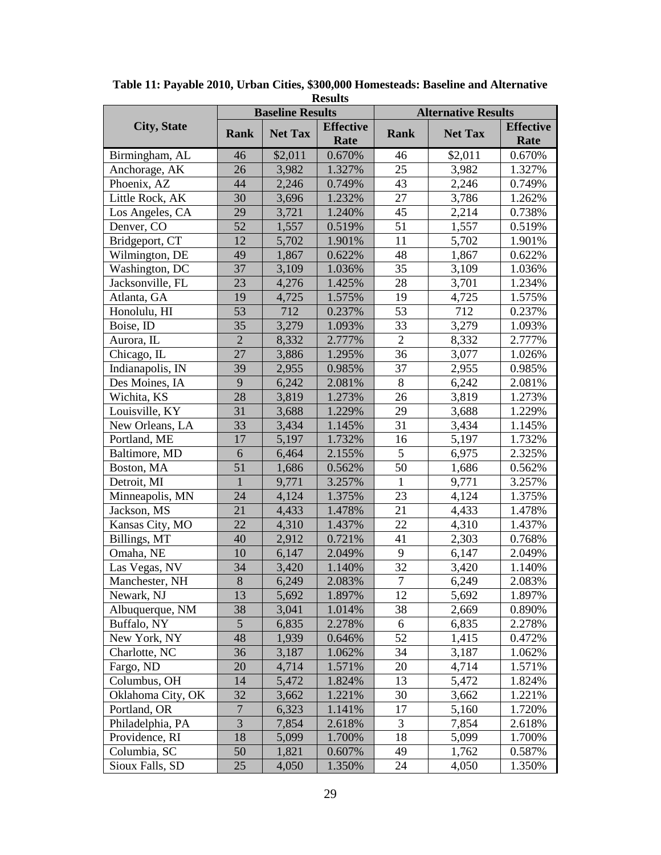|                    |                  | <b>Baseline Results</b> |                          | <b>Alternative Results</b> |                |                          |  |
|--------------------|------------------|-------------------------|--------------------------|----------------------------|----------------|--------------------------|--|
| <b>City, State</b> | Rank             | <b>Net Tax</b>          | <b>Effective</b><br>Rate | <b>Rank</b>                | <b>Net Tax</b> | <b>Effective</b><br>Rate |  |
| Birmingham, AL     | 46               | \$2,011                 | 0.670%                   | 46                         | \$2,011        | 0.670%                   |  |
| Anchorage, AK      | 26               | 3,982                   | 1.327%                   | 25                         | 3,982          | 1.327%                   |  |
| Phoenix, AZ        | 44               | 2,246                   | 0.749%                   | 43                         | 2,246          | 0.749%                   |  |
| Little Rock, AK    | 30               | 3,696                   | 1.232%                   | 27                         | 3,786          | 1.262%                   |  |
| Los Angeles, CA    | 29               | 3,721                   | 1.240%                   | 45                         | 2,214          | 0.738%                   |  |
| Denver, CO         | 52               | 1,557                   | 0.519%                   | 51                         | 1,557          | 0.519%                   |  |
| Bridgeport, CT     | 12               | 5,702                   | 1.901%                   | 11                         | 5,702          | 1.901%                   |  |
| Wilmington, DE     | 49               | 1,867                   | 0.622%                   | 48                         | 1,867          | 0.622%                   |  |
| Washington, DC     | 37               | 3,109                   | 1.036%                   | 35                         | 3,109          | 1.036%                   |  |
| Jacksonville, FL   | 23               | 4,276                   | 1.425%                   | 28                         | 3,701          | 1.234%                   |  |
| Atlanta, GA        | 19               | 4,725                   | 1.575%                   | 19                         | 4,725          | 1.575%                   |  |
| Honolulu, HI       | 53               | 712                     | 0.237%                   | 53                         | 712            | 0.237%                   |  |
| Boise, ID          | 35               | 3,279                   | 1.093%                   | 33                         | 3,279          | 1.093%                   |  |
| Aurora, IL         | $\overline{2}$   | 8,332                   | 2.777%                   | $\overline{2}$             | 8,332          | 2.777%                   |  |
| Chicago, IL        | 27               | 3,886                   | 1.295%                   | 36                         | 3,077          | 1.026%                   |  |
| Indianapolis, IN   | 39               | 2,955                   | 0.985%                   | 37                         | 2,955          | 0.985%                   |  |
| Des Moines, IA     | 9                | 6,242                   | 2.081%                   | 8                          | 6,242          | 2.081%                   |  |
| Wichita, KS        | 28               | 3,819                   | 1.273%                   | 26                         | 3,819          | 1.273%                   |  |
| Louisville, KY     | 31               | 3,688                   | 1.229%                   | 29                         | 3,688          | 1.229%                   |  |
| New Orleans, LA    | 33               | 3,434                   | 1.145%                   | 31                         | 3,434          | 1.145%                   |  |
| Portland, ME       | 17               | 5,197                   | 1.732%                   | 16                         | 5,197          | 1.732%                   |  |
| Baltimore, MD      | 6                | 6,464                   | 2.155%                   | $\overline{5}$             | 6,975          | 2.325%                   |  |
| Boston, MA         | 51               | 1,686                   | 0.562%                   | 50                         | 1,686          | 0.562%                   |  |
| Detroit, MI        | $\mathbf{1}$     | 9,771                   | 3.257%                   | $\mathbf{1}$               | 9,771          | 3.257%                   |  |
| Minneapolis, MN    | 24               | 4,124                   | 1.375%                   | 23                         | 4,124          | 1.375%                   |  |
| Jackson, MS        | 21               | 4,433                   | 1.478%                   | 21                         | 4,433          | 1.478%                   |  |
| Kansas City, MO    | 22               | 4,310                   | 1.437%                   | 22                         | 4,310          | 1.437%                   |  |
| Billings, MT       | 40               | 2,912                   | 0.721%                   | 41                         | 2,303          | 0.768%                   |  |
| Omaha, NE          | 10               | 6,147                   | 2.049%                   | 9                          | 6,147          | 2.049%                   |  |
| Las Vegas, NV      | 34               | 3,420                   | 1.140%                   | 32                         | 3,420          | 1.140%                   |  |
| Manchester, NH     | $8\,$            | 6,249                   | 2.083%                   | $\overline{7}$             | 6,249          | 2.083%                   |  |
| Newark, NJ         | 13               | 5,692                   | 1.897%                   | 12                         | 5,692          | 1.897%                   |  |
| Albuquerque, NM    | 38               | 3,041                   | 1.014%                   | 38                         | 2,669          | 0.890%                   |  |
| Buffalo, NY        | 5                | 6,835                   | 2.278%                   | 6                          | 6,835          | 2.278%                   |  |
| New York, NY       | 48               | 1,939                   | 0.646%                   | 52                         | 1,415          | 0.472%                   |  |
| Charlotte, NC      | 36               | 3,187                   | 1.062%                   | 34                         | 3,187          | 1.062%                   |  |
| Fargo, ND          | 20               | 4,714                   | 1.571%                   | 20                         | 4,714          | 1.571%                   |  |
| Columbus, OH       | 14               | 5,472                   | 1.824%                   | 13                         | 5,472          | 1.824%                   |  |
| Oklahoma City, OK  | 32               | 3,662                   | 1.221%                   | 30                         | 3,662          | 1.221%                   |  |
| Portland, OR       | $\boldsymbol{7}$ | 6,323                   | 1.141%                   | 17                         | 5,160          | 1.720%                   |  |
| Philadelphia, PA   | 3                | 7,854                   | 2.618%                   | 3                          | 7,854          | 2.618%                   |  |
| Providence, RI     | 18               | 5,099                   | 1.700%                   | 18                         | 5,099          | 1.700%                   |  |
| Columbia, SC       | 50               | 1,821                   | 0.607%                   | 49                         | 1,762          | 0.587%                   |  |
| Sioux Falls, SD    | 25               | 4,050                   | 1.350%                   | 24                         | 4,050          | 1.350%                   |  |

**Table 11: Payable 2010, Urban Cities, \$300,000 Homesteads: Baseline and Alternative Results**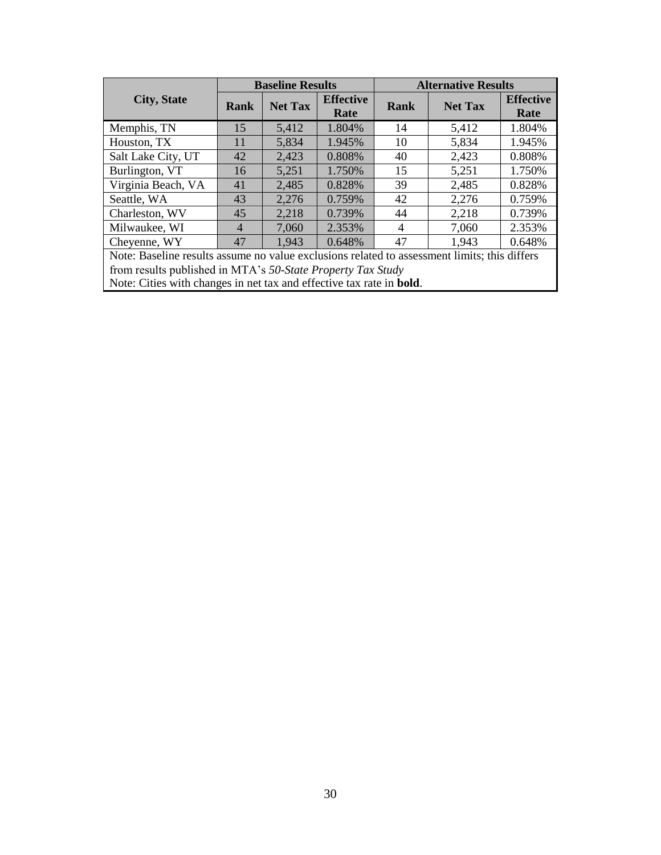|                                                                                              | <b>Baseline Results</b> |                |                          | <b>Alternative Results</b> |                |                          |  |
|----------------------------------------------------------------------------------------------|-------------------------|----------------|--------------------------|----------------------------|----------------|--------------------------|--|
| <b>City, State</b>                                                                           | <b>Rank</b>             | <b>Net Tax</b> | <b>Effective</b><br>Rate | <b>Rank</b>                | <b>Net Tax</b> | <b>Effective</b><br>Rate |  |
| Memphis, TN                                                                                  | 15                      | 5,412          | 1.804%                   | 14                         | 5,412          | 1.804%                   |  |
| Houston, TX                                                                                  | 11                      | 5,834          | 1.945%                   | 10                         | 5,834          | 1.945%                   |  |
| Salt Lake City, UT                                                                           | 42                      | 2,423          | 0.808%                   | 40                         | 2,423          | 0.808%                   |  |
| Burlington, VT                                                                               | 16                      | 5,251          | 1.750%                   | 15                         | 5,251          | 1.750%                   |  |
| Virginia Beach, VA                                                                           | 41                      | 2,485          | 0.828%                   | 39                         | 2,485          | 0.828%                   |  |
| Seattle, WA                                                                                  | 43                      | 2,276          | 0.759%                   | 42                         | 2,276          | 0.759%                   |  |
| Charleston, WV                                                                               | 45                      | 2,218          | 0.739%                   | 44                         | 2,218          | 0.739%                   |  |
| Milwaukee, WI                                                                                | $\overline{4}$          | 7,060          | 2.353%                   | $\overline{4}$             | 7,060          | 2.353%                   |  |
| Cheyenne, WY                                                                                 | 47                      | 1,943          | 0.648%                   | 47                         | 1,943          | 0.648%                   |  |
| Note: Baseline results assume no value exclusions related to assessment limits; this differs |                         |                |                          |                            |                |                          |  |
| from results published in MTA's 50-State Property Tax Study                                  |                         |                |                          |                            |                |                          |  |
| Note: Cities with changes in net tax and effective tax rate in <b>bold</b> .                 |                         |                |                          |                            |                |                          |  |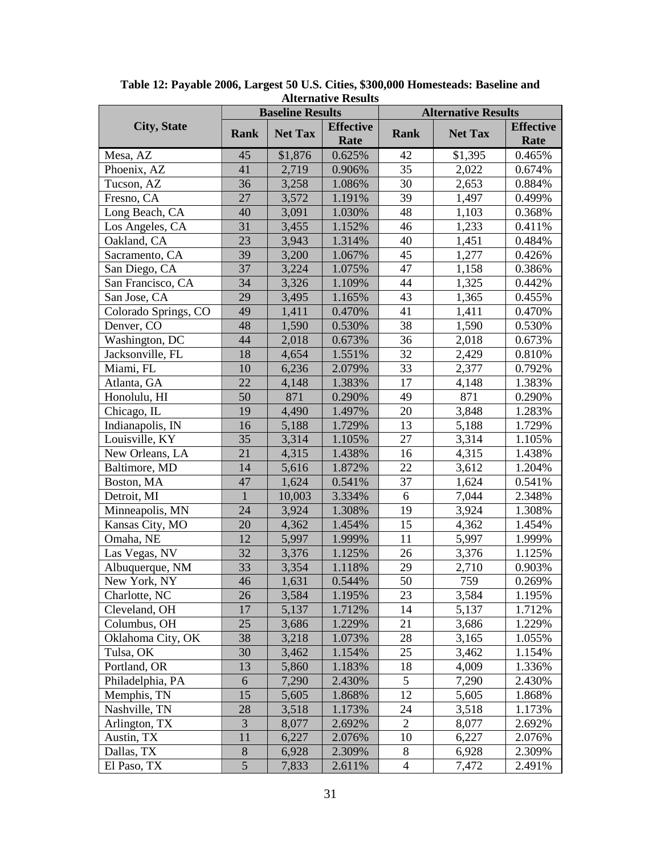|                      |              | <b>Baseline Results</b> |                          | <b>Alternative Results</b> |                |                          |
|----------------------|--------------|-------------------------|--------------------------|----------------------------|----------------|--------------------------|
| <b>City, State</b>   | Rank         | <b>Net Tax</b>          | <b>Effective</b><br>Rate | <b>Rank</b>                | <b>Net Tax</b> | <b>Effective</b><br>Rate |
| Mesa, AZ             | 45           | \$1,876                 | 0.625%                   | 42                         | \$1,395        | 0.465%                   |
| Phoenix, AZ          | 41           | 2,719                   | 0.906%                   | 35                         | 2,022          | 0.674%                   |
| Tucson, AZ           | 36           | 3,258                   | 1.086%                   | 30                         | 2,653          | 0.884%                   |
| Fresno, CA           | 27           | 3,572                   | 1.191%                   | 39                         | 1,497          | 0.499%                   |
| Long Beach, CA       | 40           | 3,091                   | 1.030%                   | 48                         | 1,103          | 0.368%                   |
| Los Angeles, CA      | 31           | 3,455                   | 1.152%                   | 46                         | 1,233          | 0.411%                   |
| Oakland, CA          | 23           | 3,943                   | 1.314%                   | 40                         | 1,451          | 0.484%                   |
| Sacramento, CA       | 39           | 3,200                   | 1.067%                   | 45                         | 1,277          | 0.426%                   |
| San Diego, CA        | 37           | 3,224                   | 1.075%                   | 47                         | 1,158          | 0.386%                   |
| San Francisco, CA    | 34           | 3,326                   | 1.109%                   | 44                         | 1,325          | 0.442%                   |
| San Jose, CA         | 29           | 3,495                   | 1.165%                   | 43                         | 1,365          | 0.455%                   |
| Colorado Springs, CO | 49           | 1,411                   | 0.470%                   | 41                         | 1,411          | 0.470%                   |
| Denver, CO           | 48           | 1,590                   | 0.530%                   | 38                         | 1,590          | 0.530%                   |
| Washington, DC       | 44           | 2,018                   | 0.673%                   | 36                         | 2,018          | 0.673%                   |
| Jacksonville, FL     | 18           | 4,654                   | 1.551%                   | 32                         | 2,429          | 0.810%                   |
| Miami, FL            | 10           | 6,236                   | 2.079%                   | 33                         | 2,377          | 0.792%                   |
| Atlanta, GA          | 22           | 4,148                   | 1.383%                   | 17                         | 4,148          | 1.383%                   |
| Honolulu, HI         | 50           | 871                     | 0.290%                   | 49                         | 871            | 0.290%                   |
| Chicago, IL          | 19           | 4,490                   | 1.497%                   | 20                         | 3,848          | 1.283%                   |
| Indianapolis, IN     | 16           | 5,188                   | 1.729%                   | 13                         | 5,188          | 1.729%                   |
| Louisville, KY       | 35           | 3,314                   | 1.105%                   | 27                         | 3,314          | 1.105%                   |
| New Orleans, LA      | 21           | 4,315                   | 1.438%                   | 16                         | 4,315          | 1.438%                   |
| Baltimore, MD        | 14           | 5,616                   | 1.872%                   | 22                         | 3,612          | 1.204%                   |
| Boston, MA           | 47           | 1,624                   | 0.541%                   | 37                         | 1,624          | 0.541%                   |
| Detroit, MI          | $\mathbf{1}$ | 10,003                  | 3.334%                   | 6                          | 7,044          | 2.348%                   |
| Minneapolis, MN      | 24           | 3,924                   | 1.308%                   | 19                         | 3,924          | 1.308%                   |
| Kansas City, MO      | 20           | 4,362                   | 1.454%                   | 15                         | 4,362          | 1.454%                   |
| Omaha, NE            | 12           | 5,997                   | 1.999%                   | 11                         | 5,997          | 1.999%                   |
| Las Vegas, NV        | 32           | 3,376                   | 1.125%                   | 26                         | 3,376          | 1.125%                   |
| Albuquerque, NM      | 33           | 3,354                   | 1.118%                   | 29                         | 2,710          | 0.903%                   |
| New York, NY         | 46           | 1,631                   | 0.544%                   | 50                         | 759            | 0.269%                   |
| Charlotte, NC        | 26           | 3,584                   | 1.195%                   | 23                         | 3,584          | 1.195%                   |
| Cleveland, OH        | 17           | 5,137                   | 1.712%                   | 14                         | 5,137          | 1.712%                   |
| Columbus, OH         | 25           | 3,686                   | 1.229%                   | 21                         | 3,686          | 1.229%                   |
| Oklahoma City, OK    | 38           | 3,218                   | 1.073%                   | 28                         | 3,165          | 1.055%                   |
| Tulsa, OK            | 30           | 3,462                   | 1.154%                   | 25                         | 3,462          | 1.154%                   |
| Portland, OR         | 13           | 5,860                   | 1.183%                   | 18                         | 4,009          | 1.336%                   |
| Philadelphia, PA     | 6            | 7,290                   | 2.430%                   | 5                          | 7,290          | 2.430%                   |
| Memphis, TN          | 15           | 5,605                   | 1.868%                   | 12                         | 5,605          | 1.868%                   |
| Nashville, TN        | 28           | 3,518                   | 1.173%                   | 24                         | 3,518          | 1.173%                   |
| Arlington, TX        | 3            | 8,077                   | 2.692%                   | $\overline{2}$             | 8,077          | 2.692%                   |
| Austin, TX           | 11           | 6,227                   | 2.076%                   | 10                         | 6,227          | 2.076%                   |
| Dallas, TX           | $8\,$        | 6,928                   | 2.309%                   | 8                          | 6,928          | 2.309%                   |
| El Paso, TX          | 5            | 7,833                   | 2.611%                   | $\overline{4}$             | 7,472          | 2.491%                   |

**Table 12: Payable 2006, Largest 50 U.S. Cities, \$300,000 Homesteads: Baseline and Alternative Results**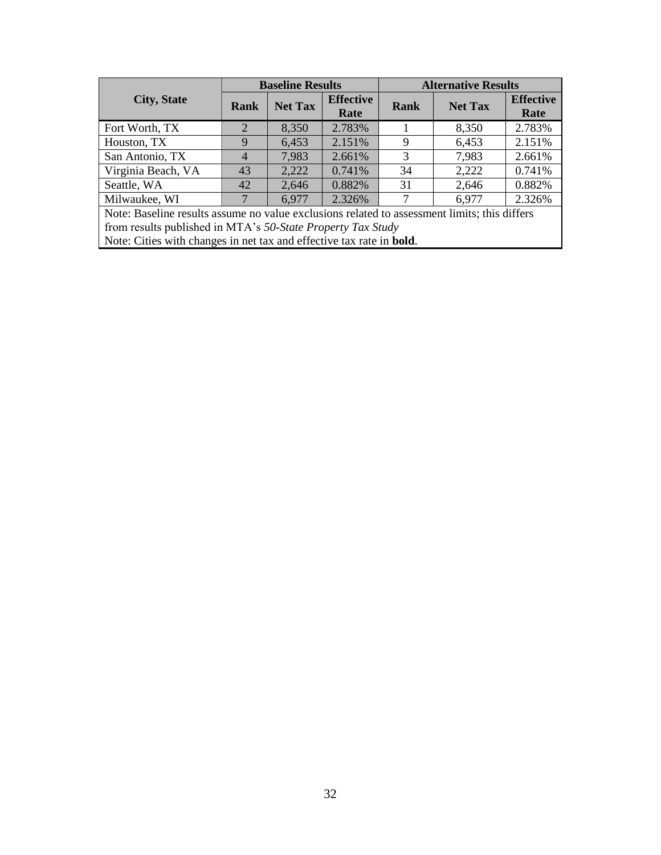|                                                                                              |      | <b>Baseline Results</b> |                          | <b>Alternative Results</b> |                |                          |  |
|----------------------------------------------------------------------------------------------|------|-------------------------|--------------------------|----------------------------|----------------|--------------------------|--|
| <b>City, State</b>                                                                           | Rank | <b>Net Tax</b>          | <b>Effective</b><br>Rate | Rank                       | <b>Net Tax</b> | <b>Effective</b><br>Rate |  |
| Fort Worth, TX                                                                               | 2    | 8,350                   | 2.783%                   |                            | 8,350          | 2.783%                   |  |
| Houston, TX                                                                                  |      | 6,453                   | 2.151%                   | 9                          | 6,453          | 2.151%                   |  |
| San Antonio, TX                                                                              | 4    | 7,983                   | 2.661%                   | 3                          | 7,983          | 2.661%                   |  |
| Virginia Beach, VA                                                                           | 43   | 2,222                   | 0.741%                   | 34                         | 2,222          | 0.741%                   |  |
| Seattle, WA                                                                                  | 42   | 2,646                   | 0.882%                   | 31                         | 2,646          | 0.882%                   |  |
| Milwaukee, WI                                                                                |      | 6,977                   | 2.326%                   |                            | 6,977          | 2.326%                   |  |
| Note: Baseline results assume no value exclusions related to assessment limits; this differs |      |                         |                          |                            |                |                          |  |

from results published in MTA's *50-State Property Tax Study* Note: Cities with changes in net tax and effective tax rate in **bold**.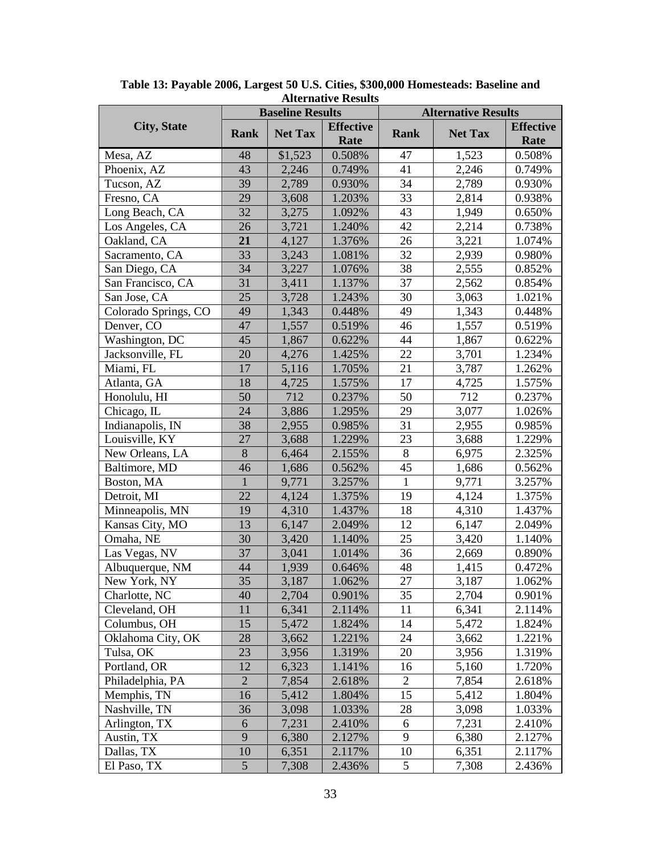|                      |                 | <b>Baseline Results</b> |                          | <b>Alternative Results</b> |                |                          |
|----------------------|-----------------|-------------------------|--------------------------|----------------------------|----------------|--------------------------|
| <b>City, State</b>   | Rank            | <b>Net Tax</b>          | <b>Effective</b><br>Rate | <b>Rank</b>                | <b>Net Tax</b> | <b>Effective</b><br>Rate |
| Mesa, AZ             | 48              | \$1,523                 | 0.508%                   | 47                         | 1,523          | 0.508%                   |
| Phoenix, AZ          | 43              | 2,246                   | 0.749%                   | 41                         | 2,246          | 0.749%                   |
| Tucson, AZ           | 39              | 2,789                   | 0.930%                   | 34                         | 2,789          | 0.930%                   |
| Fresno, CA           | 29              | 3,608                   | 1.203%                   | 33                         | 2,814          | 0.938%                   |
| Long Beach, CA       | 32              | 3,275                   | 1.092%                   | 43                         | 1,949          | 0.650%                   |
| Los Angeles, CA      | 26              | 3,721                   | 1.240%                   | 42                         | 2,214          | 0.738%                   |
| Oakland, CA          | 21              | 4,127                   | 1.376%                   | 26                         | 3,221          | 1.074%                   |
| Sacramento, CA       | 33              | 3,243                   | 1.081%                   | 32                         | 2,939          | 0.980%                   |
| San Diego, CA        | 34              | 3,227                   | 1.076%                   | 38                         | 2,555          | 0.852%                   |
| San Francisco, CA    | 31              | 3,411                   | 1.137%                   | 37                         | 2,562          | 0.854%                   |
| San Jose, CA         | 25              | 3,728                   | 1.243%                   | 30                         | 3,063          | 1.021%                   |
| Colorado Springs, CO | 49              | 1,343                   | 0.448%                   | 49                         | 1,343          | 0.448%                   |
| Denver, CO           | 47              | 1,557                   | 0.519%                   | 46                         | 1,557          | 0.519%                   |
| Washington, DC       | 45              | 1,867                   | 0.622%                   | 44                         | 1,867          | 0.622%                   |
| Jacksonville, FL     | 20              | 4,276                   | 1.425%                   | 22                         | 3,701          | 1.234%                   |
| Miami, FL            | 17              | 5,116                   | 1.705%                   | 21                         | 3,787          | 1.262%                   |
| Atlanta, GA          | 18              | 4,725                   | 1.575%                   | 17                         | 4,725          | 1.575%                   |
| Honolulu, HI         | 50              | 712                     | 0.237%                   | 50                         | 712            | 0.237%                   |
| Chicago, IL          | 24              | 3,886                   | 1.295%                   | 29                         | 3,077          | 1.026%                   |
| Indianapolis, IN     | 38              | 2,955                   | 0.985%                   | 31                         | 2,955          | 0.985%                   |
| Louisville, KY       | 27              | 3,688                   | 1.229%                   | 23                         | 3,688          | 1.229%                   |
| New Orleans, LA      | $8\,$           | 6,464                   | 2.155%                   | $8\,$                      | 6,975          | 2.325%                   |
| Baltimore, MD        | 46              | 1,686                   | 0.562%                   | 45                         | 1,686          | 0.562%                   |
| Boston, MA           | $\mathbf{1}$    | 9,771                   | 3.257%                   | $\mathbf{1}$               | 9,771          | 3.257%                   |
| Detroit, MI          | 22              | 4,124                   | 1.375%                   | 19                         | 4,124          | 1.375%                   |
| Minneapolis, MN      | 19              | 4,310                   | 1.437%                   | 18                         | 4,310          | 1.437%                   |
| Kansas City, MO      | 13              | 6,147                   | 2.049%                   | 12                         | 6,147          | 2.049%                   |
| Omaha, NE            | 30              | 3,420                   | 1.140%                   | 25                         | 3,420          | 1.140%                   |
| Las Vegas, NV        | 37              | 3,041                   | 1.014%                   | 36                         | 2,669          | 0.890%                   |
| Albuquerque, NM      | 44              | 1,939                   | 0.646%                   | 48                         | 1,415          | 0.472%                   |
| New York, NY         | 35              | 3,187                   | 1.062%                   | 27                         | 3,187          | 1.062%                   |
| Charlotte, NC        | 40              | 2,704                   | 0.901%                   | 35                         | 2,704          | 0.901%                   |
| Cleveland, OH        | 11              | 6,341                   | 2.114%                   | 11                         | 6,341          | 2.114%                   |
| Columbus, OH         | 15              | 5,472                   | 1.824%                   | 14                         | 5,472          | 1.824%                   |
| Oklahoma City, OK    | 28              | 3,662                   | 1.221%                   | 24                         | 3,662          | 1.221%                   |
| Tulsa, OK            | 23              | 3,956                   | 1.319%                   | 20                         | 3,956          | 1.319%                   |
| Portland, OR         | 12              | 6,323                   | 1.141%                   | 16                         | 5,160          | 1.720%                   |
| Philadelphia, PA     | $\sqrt{2}$      | 7,854                   | 2.618%                   | 2                          | 7,854          | 2.618%                   |
| Memphis, TN          | 16              | 5,412                   | 1.804%                   | 15                         | 5,412          | 1.804%                   |
| Nashville, TN        | 36              | 3,098                   | 1.033%                   | 28                         | 3,098          | 1.033%                   |
| Arlington, TX        | 6               | 7,231                   | 2.410%                   | 6                          | 7,231          | 2.410%                   |
| Austin, TX           | 9               | 6,380                   | 2.127%                   | 9                          | 6,380          | 2.127%                   |
| Dallas, TX           | 10              | 6,351                   | 2.117%                   | 10                         | 6,351          | 2.117%                   |
| El Paso, TX          | $5\overline{)}$ | 7,308                   | 2.436%                   | 5                          | 7,308          | 2.436%                   |

**Table 13: Payable 2006, Largest 50 U.S. Cities, \$300,000 Homesteads: Baseline and Alternative Results**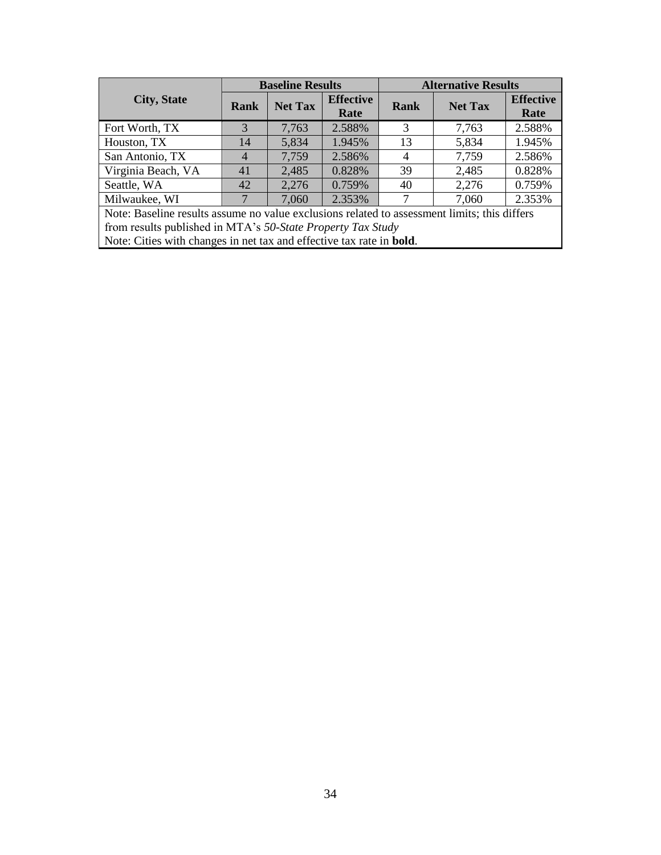|                                                                                              |                | <b>Baseline Results</b> |                          |      | <b>Alternative Results</b> |                          |  |
|----------------------------------------------------------------------------------------------|----------------|-------------------------|--------------------------|------|----------------------------|--------------------------|--|
| <b>City, State</b>                                                                           | Rank           | <b>Net Tax</b>          | <b>Effective</b><br>Rate | Rank | <b>Net Tax</b>             | <b>Effective</b><br>Rate |  |
| Fort Worth, TX                                                                               | 3              | 7,763                   | 2.588%                   | 3    | 7,763                      | 2.588%                   |  |
| Houston, TX                                                                                  | 14             | 5,834                   | 1.945%                   | 13   | 5,834                      | 1.945%                   |  |
| San Antonio, TX                                                                              | $\overline{4}$ | 7,759                   | 2.586%                   | 4    | 7,759                      | 2.586%                   |  |
| Virginia Beach, VA                                                                           | 41             | 2,485                   | 0.828%                   | 39   | 2,485                      | 0.828%                   |  |
| Seattle, WA                                                                                  | 42             | 2,276                   | 0.759%                   | 40   | 2,276                      | 0.759%                   |  |
| Milwaukee, WI                                                                                |                | 7,060                   | 2.353%                   |      | 7,060                      | 2.353%                   |  |
| Note: Baseline results assume no value exclusions related to assessment limits; this differs |                |                         |                          |      |                            |                          |  |

from results published in MTA's *50-State Property Tax Study* Note: Cities with changes in net tax and effective tax rate in **bold**.

34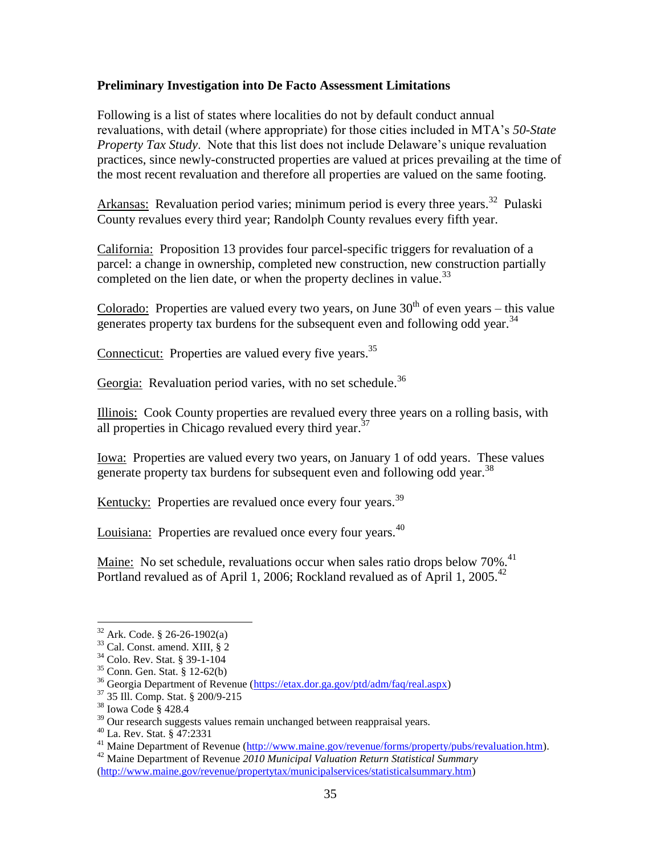#### **Preliminary Investigation into De Facto Assessment Limitations**

Following is a list of states where localities do not by default conduct annual revaluations, with detail (where appropriate) for those cities included in MTA's *50-State Property Tax Study*. Note that this list does not include Delaware's unique revaluation practices, since newly-constructed properties are valued at prices prevailing at the time of the most recent revaluation and therefore all properties are valued on the same footing.

Arkansas: Revaluation period varies; minimum period is every three years.<sup>32</sup> Pulaski County revalues every third year; Randolph County revalues every fifth year.

California: Proposition 13 provides four parcel-specific triggers for revaluation of a parcel: a change in ownership, completed new construction, new construction partially completed on the lien date, or when the property declines in value.<sup>33</sup>

Colorado: Properties are valued every two years, on June  $30<sup>th</sup>$  of even years – this value generates property tax burdens for the subsequent even and following odd year.<sup>34</sup>

Connecticut: Properties are valued every five years.<sup>35</sup>

Georgia: Revaluation period varies, with no set schedule.<sup>36</sup>

Illinois: Cook County properties are revalued every three years on a rolling basis, with all properties in Chicago revalued every third year. $37$ 

Iowa: Properties are valued every two years, on January 1 of odd years. These values generate property tax burdens for subsequent even and following odd year.<sup>38</sup>

Kentucky: Properties are revalued once every four years.<sup>39</sup>

Louisiana: Properties are revalued once every four years.<sup>40</sup>

Maine: No set schedule, revaluations occur when sales ratio drops below  $70\%$ <sup>41</sup> Portland revalued as of April 1, 2006; Rockland revalued as of April 1, 2005.<sup>42</sup>

<sup>32</sup> Ark. Code. § 26-26-1902(a)

<sup>33</sup> Cal. Const. amend. XIII, § 2

<sup>34</sup> Colo. Rev. Stat. § 39-1-104

<sup>35</sup> Conn. Gen. Stat. § 12-62(b)

<sup>36</sup> Georgia Department of Revenue [\(https://etax.dor.ga.gov/ptd/adm/faq/real.aspx\)](https://etax.dor.ga.gov/ptd/adm/faq/real.aspx)

<sup>37</sup> 35 Ill. Comp. Stat. § 200/9-215

<sup>38</sup> Iowa Code § 428.4

<sup>&</sup>lt;sup>39</sup> Our research suggests values remain unchanged between reappraisal years.

<sup>40</sup> La. Rev. Stat. § 47:2331

<sup>&</sup>lt;sup>41</sup> Maine Department of Revenue [\(http://www.maine.gov/revenue/forms/property/pubs/revaluation.htm\)](http://www.maine.gov/revenue/forms/property/pubs/revaluation.htm).

<sup>42</sup> Maine Department of Revenue *2010 Municipal Valuation Return Statistical Summary* [\(http://www.maine.gov/revenue/propertytax/municipalservices/statisticalsummary.htm\)](http://www.maine.gov/revenue/propertytax/municipalservices/statisticalsummary.htm)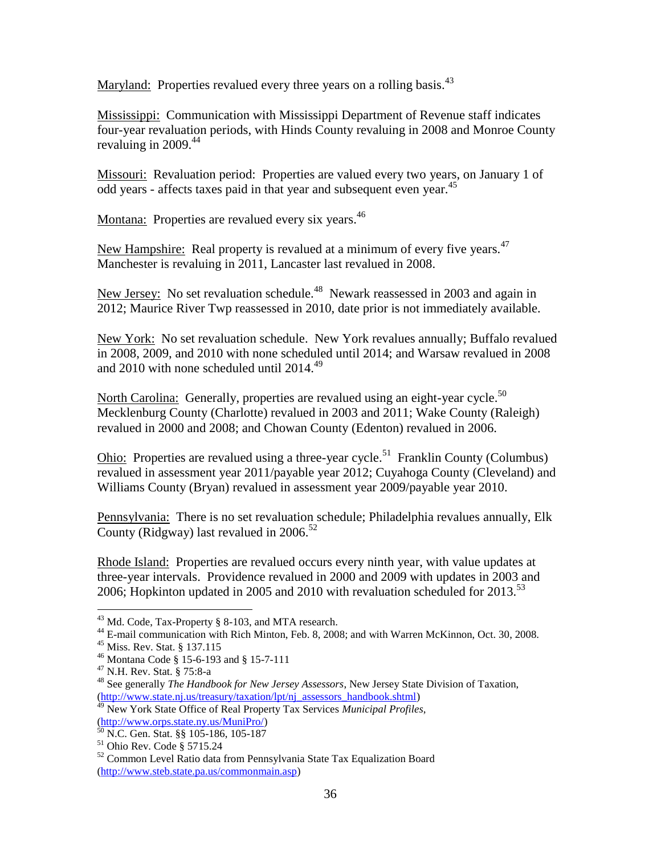Maryland: Properties revalued every three years on a rolling basis.<sup>43</sup>

Mississippi: Communication with Mississippi Department of Revenue staff indicates four-year revaluation periods, with Hinds County revaluing in 2008 and Monroe County revaluing in  $2009.44$ 

Missouri: Revaluation period: Properties are valued every two years, on January 1 of odd years - affects taxes paid in that year and subsequent even year.<sup>45</sup>

Montana: Properties are revalued every six years.<sup>46</sup>

New Hampshire: Real property is revalued at a minimum of every five years.<sup>47</sup> Manchester is revaluing in 2011, Lancaster last revalued in 2008.

New Jersey: No set revaluation schedule.<sup>48</sup> Newark reassessed in 2003 and again in 2012; Maurice River Twp reassessed in 2010, date prior is not immediately available.

New York: No set revaluation schedule. New York revalues annually; Buffalo revalued in 2008, 2009, and 2010 with none scheduled until 2014; and Warsaw revalued in 2008 and 2010 with none scheduled until  $2014.^{49}$ 

North Carolina: Generally, properties are revalued using an eight-year cycle.<sup>50</sup> Mecklenburg County (Charlotte) revalued in 2003 and 2011; Wake County (Raleigh) revalued in 2000 and 2008; and Chowan County (Edenton) revalued in 2006.

**Ohio:** Properties are revalued using a three-year cycle.<sup>51</sup> Franklin County (Columbus) revalued in assessment year 2011/payable year 2012; Cuyahoga County (Cleveland) and Williams County (Bryan) revalued in assessment year 2009/payable year 2010.

Pennsylvania: There is no set revaluation schedule; Philadelphia revalues annually, Elk County (Ridgway) last revalued in  $2006$ <sup>52</sup>

Rhode Island: Properties are revalued occurs every ninth year, with value updates at three-year intervals. Providence revalued in 2000 and 2009 with updates in 2003 and 2006; Hopkinton updated in 2005 and 2010 with revaluation scheduled for  $2013$ .<sup>53</sup>

<sup>&</sup>lt;sup>43</sup> Md. Code, Tax-Property § 8-103, and MTA research.

<sup>44</sup> E-mail communication with Rich Minton, Feb. 8, 2008; and with Warren McKinnon, Oct. 30, 2008.

<sup>45</sup> Miss. Rev. Stat. § 137.115

<sup>46</sup> Montana Code § 15-6-193 and § 15-7-111

<sup>47</sup> N.H. Rev. Stat. § 75:8-a

<sup>48</sup> See generally *The Handbook for New Jersey Assessors*, New Jersey State Division of Taxation, [\(http://www.state.nj.us/treasury/taxation/lpt/nj\\_assessors\\_handbook.shtml\)](http://www.state.nj.us/treasury/taxation/lpt/nj_assessors_handbook.shtml)

<sup>49</sup> New York State Office of Real Property Tax Services *Municipal Profiles*, [\(http://www.orps.state.ny.us/MuniPro/\)](http://www.orps.state.ny.us/MuniPro/)

<sup>50</sup> N.C. Gen. Stat. §§ 105-186, 105-187

<sup>51</sup> Ohio Rev. Code § 5715.24

<sup>52</sup> Common Level Ratio data from Pennsylvania State Tax Equalization Board [\(http://www.steb.state.pa.us/commonmain.asp\)](http://www.steb.state.pa.us/commonmain.asp)